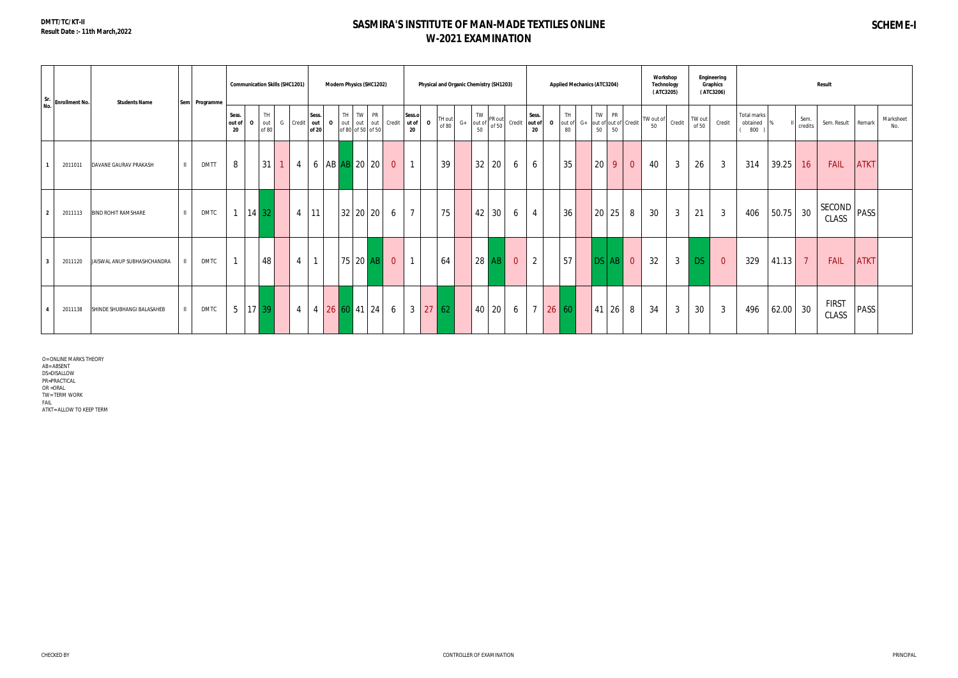# **SASMIRA'S INSTITUTE OF MAN-MADE TEXTILES ONLINE W-2021 EXAMINATION**

| Sr.<br>No.              | <b>Enrollment No.</b> | <b>Students Name</b>                       | Sem Programme |                                    | <b>Communication Skills (SHC1201)</b> |                |                       |              | <b>Modern Physics (SHC1202)</b>                           |                |                                      |                 |                                   | Physical and Organic Chemistry (SH1203) |                |                       |              | <b>Applied Mechanics (ATC3204)</b> |          |                 |                      | Workshop<br>Technology<br>(ATC3205) |              |                 | Engineering<br>Graphics<br>(ATC3206) |                                |       |                 | <b>Result</b>          |             |                  |
|-------------------------|-----------------------|--------------------------------------------|---------------|------------------------------------|---------------------------------------|----------------|-----------------------|--------------|-----------------------------------------------------------|----------------|--------------------------------------|-----------------|-----------------------------------|-----------------------------------------|----------------|-----------------------|--------------|------------------------------------|----------|-----------------|----------------------|-------------------------------------|--------------|-----------------|--------------------------------------|--------------------------------|-------|-----------------|------------------------|-------------|------------------|
|                         |                       |                                            |               | Sess.<br>out of<br>$\Omega$<br>-20 | TH<br>out<br>G<br>of 80               | Credit         | Sess.<br>out<br>of 20 | $\mathbf{o}$ | TH TW<br><b>PR</b><br>out out<br>out<br>of 80 of 50 of 50 | Credit         | Sess.o<br>ut of<br>$\mathbf 0$<br>20 | TH out<br>of 80 | TW<br>$G+$ out of<br>$50^{\circ}$ | PR out<br>of 50                         | Credit         | Sess.<br>out of<br>20 | $\mathbf{o}$ | <b>TH</b><br>$G+$<br>out of<br>80  | TW<br>50 | <b>PR</b><br>50 | out of out of Credit | TW out of<br>50                     | Credit       | TW out<br>of 50 | Credit                               | Total marks<br>obtained<br>800 |       | Sem.<br>credits | Sem. Result            | Remark      | Marksheet<br>No. |
|                         | 2011011               | $\mathbf{H}$<br>DAVANE GAURAV PRAKASH      | <b>DMTT</b>   | 8                                  | 31                                    | $\overline{4}$ | 6                     |              | AB AB 20 20                                               | $\overline{0}$ | $\mathbf{1}$                         | 39              | 32                                | 20                                      | 6              | 6                     |              | 35                                 | 20       | 9               | $\overline{0}$       | 40                                  | $\mathbf{3}$ | 26              | 3                                    | 314                            | 39.25 | 16              | <b>FAIL</b>            | <b>ATKT</b> |                  |
| $\overline{2}$          | 2011113               | $\mathbf{H}$<br><b>BIND ROHIT RAMSHARE</b> | <b>DMTC</b>   |                                    | $14 \overline{32}$                    |                | $4 \mid 11$           |              | 32 20 20                                                  | 6              | $\overline{7}$                       | 75              | 42                                | 30                                      | 6              | $\overline{4}$        |              | 36                                 |          | 20 25           | 8                    | 30                                  | $\mathbf{3}$ | 21              | $\mathbf{3}$                         | 406                            | 50.75 | 30              | <b>SECOND</b><br>CLASS | PASS        |                  |
| $\overline{\mathbf{3}}$ | 2011120               | JAISWAL ANUP SUBHASHCHANDRA                | <b>DMTC</b>   |                                    | 48                                    | $\overline{4}$ | $\mathbf{1}$          |              | 75 20 AB                                                  | $\overline{0}$ | $\mathbf{1}$                         | 64              | 28                                | AB                                      | $\overline{0}$ | 2                     |              | 57                                 | DS       | $AB$ 0          |                      | 32                                  | $\mathbf{3}$ | <b>DS</b>       | $\overline{0}$                       | 329                            | 41.13 | $\overline{7}$  | FAIL                   | <b>ATKT</b> |                  |
| $\overline{4}$          | 2011138               | $\mathbf{H}$<br>SHINDE SHUBHANGI BALASAHEB | <b>DMTC</b>   | 5   17   39                        |                                       | $\overline{4}$ | $\overline{4}$        |              | 26   60   41   24                                         | 6              | 3 <sup>1</sup>                       | 27 62           | 40                                | 20                                      | 6              | $\overline{7}$        | 26 60        |                                    | 41       | 26              | 8                    | 34                                  | $\mathbf{3}$ | 30              | $\mathbf{3}$                         | 496                            | 62.00 | 30              | <b>FIRST</b><br>CLASS  | <b>PASS</b> |                  |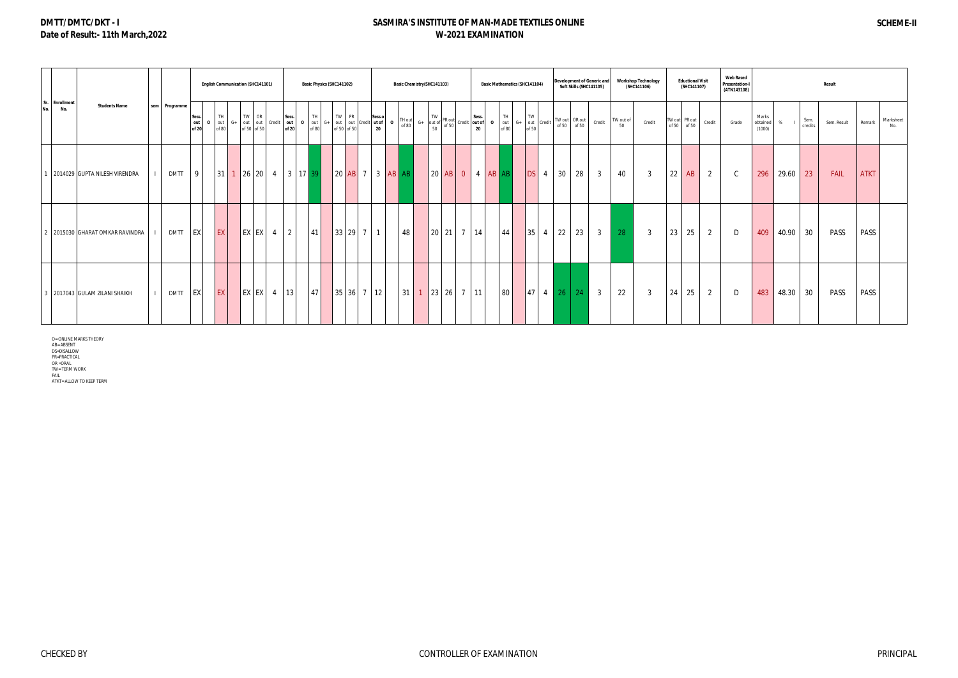# **DMTT/DMTC/DKT - I Date of Result:- 11th March,2022**

## **SASMIRA'S INSTITUTE OF MAN-MADE TEXTILES ONLINE W-2021 EXAMINATION**

|                              |                                 |               |                       |                             |    | <b>English Communication (SHC141101)</b> |               |                                            |              |      | Basic Physics (SHC141102) |                                            |        | Basic Chemistry (SHC141103) |  |                                                                                                                                                                                                                                                                                                                                                                                               |  | <b>Basic Mathematics (SHC141104)</b>                                  |              |                 | Soft Skills (SHC141105)      | Development of Generic and |                 | <b>Workshop Technology</b><br>(SHC141106) |    | <b>Eductional Visit</b><br>(SHC141107) |                | <b>Web Based</b><br><b>Presentation-I</b><br>(ATN143108) |                             |          |                 | Result |             |             |                  |
|------------------------------|---------------------------------|---------------|-----------------------|-----------------------------|----|------------------------------------------|---------------|--------------------------------------------|--------------|------|---------------------------|--------------------------------------------|--------|-----------------------------|--|-----------------------------------------------------------------------------------------------------------------------------------------------------------------------------------------------------------------------------------------------------------------------------------------------------------------------------------------------------------------------------------------------|--|-----------------------------------------------------------------------|--------------|-----------------|------------------------------|----------------------------|-----------------|-------------------------------------------|----|----------------------------------------|----------------|----------------------------------------------------------|-----------------------------|----------|-----------------|--------|-------------|-------------|------------------|
| Sr. Enrollment<br>No.<br>No. | <b>Students Name</b>            | sem Programme | Sess.<br>out<br>of 20 | TH<br>$\frac{1}{100}$ or 80 | G+ | TW OR                                    |               | Sess.<br>out out Credit out<br>of 50 of 50 | $\mathbf{o}$ | TH I | TW PR                     | out $G+$ out of 50 out Credit <b>ut of</b> | Sess.o | TH out<br>$\Omega$<br>of 80 |  | $G+$ TW PR out $G+$ Sess.<br>$G+$ out of $\begin{array}{ c c c c }\n\hline\n\text{S} & \text{S} & \text{S} & \text{S} \\ \hline\n\text{S} & \text{S} & \text{S} & \text{S} \\ \hline\n\text{S} & \text{S} & \text{S} & \text{S} \\ \hline\n\text{S} & \text{S} & \text{S} & \text{S} \\ \hline\n\text{S} & \text{S} & \text{S} & \text{S} \\ \hline\n\text{S} & \text{S} & \text{S} & \text{$ |  | TH.<br><b>0</b> out $G+$ out $\overline{G}$ out $\overline{G}$ credit | TW           |                 | TW out OR out<br>of 50 of 50 | Credit                     | TW out of<br>50 | Credit                                    |    | TW out PR out<br>of 50 of 50           | Credit         | Grade                                                    | Marks<br>obtained<br>(1000) | %        | Sem.<br>credits |        | Sem. Result | Remark      | Marksheet<br>No. |
|                              | 2014029 GUPTA NILESH VIRENDRA   | <b>DMTT</b>   | 9                     |                             |    |                                          |               |                                            |              |      |                           |                                            |        | 20 AB 7 3 AB AB             |  |                                                                                                                                                                                                                                                                                                                                                                                               |  |                                                                       | DS 4         | 30 <sup>°</sup> | $\frac{28}{2}$               | $\overline{3}$             | 40              | $\overline{3}$                            | 22 | AB                                     | $\overline{2}$ | $\mathcal{C}$                                            | 296                         | 29.60 23 |                 |        | <b>FAIL</b> | <b>ATKT</b> |                  |
|                              | 2 2015030 GHARAT OMKAR RAVINDRA | DMTT EX       |                       | EX <sup>1</sup>             |    |                                          | $EX$ $EX$ 4 2 |                                            |              | 41   |                           | 33 29 7 1                                  |        | 48                          |  | 20 21 7 14                                                                                                                                                                                                                                                                                                                                                                                    |  | 44                                                                    | $35 \quad 4$ |                 | $22 \mid 23 \mid$            | 3 <sup>3</sup>             | 28              | $\mathbf{3}$                              | 23 | 25                                     | 2              | D                                                        | 409                         | 40.90 30 |                 |        | PASS        | PASS        |                  |
|                              | 3 2017043 GULAM ZILANI SHAIKH   | DMTT EX       |                       | EX                          |    |                                          |               | $ EX EX $ 4   13                           |              | 47   |                           | 35 36 7 12                                 |        | 31                          |  | $1 \mid 23 \mid 26 \mid 7 \mid 11 \mid$                                                                                                                                                                                                                                                                                                                                                       |  | 80                                                                    |              |                 | 47 4 26 24                   | 3 <sup>1</sup>             | 22              | 3                                         | 24 | 25                                     | 2              | D                                                        | 483                         | 48.30 30 |                 |        | PASS        | PASS        |                  |

O= ONLINE MARKS THEORY<br>AB= ABSENT<br>DS=DISALLOW<br>PR=PRACTICAL<br>PR=PRACTICAL<br>OR = TERM WORK<br>TIKT= ALLOW TO KEEP TERM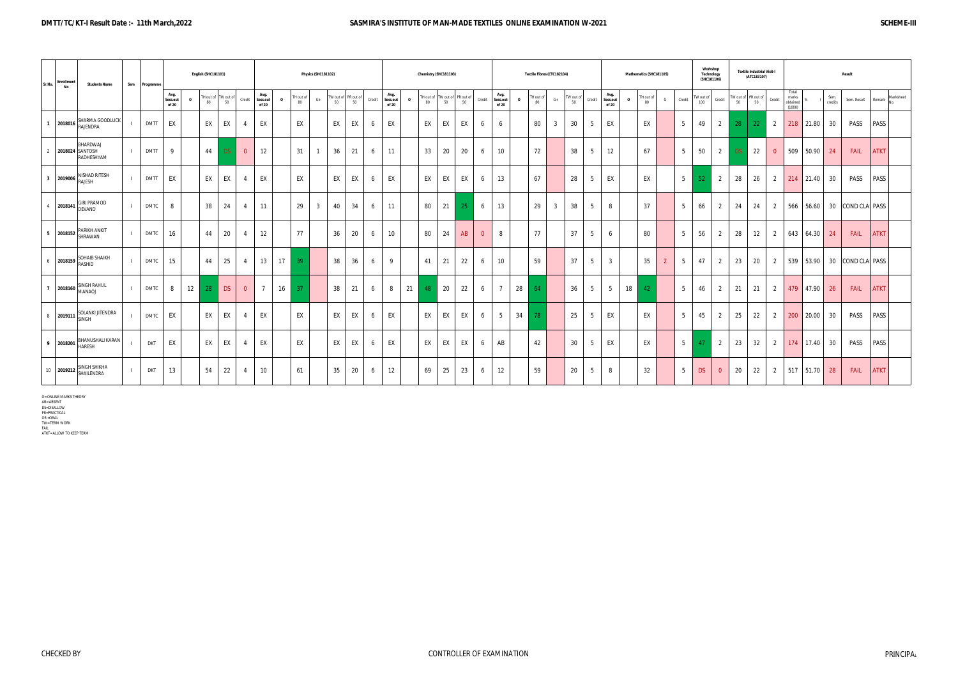#### **DMTT/TC/KT-I Result Date :- 11th March,2022 SASMIRA'S INSTITUTE OF MAN-MADE TEXTILES ONLINE EXAMINATION W-2021 SCHEME-III**

| Sr.No.         | Enrollment<br>No | <b>Students Name</b>                     | Sem | Programm    |                           |          | English (SHC181101) |                 |                |                                                      |                 | Physics (SHC181102) |                           |              |                           |              | Chemistry (SHC181103) |    |                         |                |                           |          |                 | Textile Fibres (CTC182104) |                 |                                     | Mathematics (SHC181105)        |                     |                  | Workshop<br>Technology<br>(SHC181106) |     | <b>Textile Industrial Visit-I</b><br>(ATC183107) |                |                                      |           |                 | Result           |             |           |
|----------------|------------------|------------------------------------------|-----|-------------|---------------------------|----------|---------------------|-----------------|----------------|------------------------------------------------------|-----------------|---------------------|---------------------------|--------------|---------------------------|--------------|-----------------------|----|-------------------------|----------------|---------------------------|----------|-----------------|----------------------------|-----------------|-------------------------------------|--------------------------------|---------------------|------------------|---------------------------------------|-----|--------------------------------------------------|----------------|--------------------------------------|-----------|-----------------|------------------|-------------|-----------|
|                |                  |                                          |     |             | Avg.<br>Sess.out<br>of 20 | $\Omega$ | TH out of<br>80     | TW out of<br>50 | Credit         | Avg.<br>Sess.out<br>$\overline{\mathbf{0}}$<br>of 20 | FH out of<br>80 | $G+$                | TW out of PR out of<br>50 | Credit<br>50 | Avg.<br>Sess.out<br>of 20 | $\mathbf{0}$ | FH out of<br>80       | 50 | Wout of PR out of<br>50 | Credit         | Avg.<br>Sess.out<br>of 20 | $\Omega$ | TH out of<br>80 | $G+$                       | TW out of<br>50 | Avg.<br>Credit<br>Sess.out<br>of 20 | H out of<br>$\mathbf{o}$<br>80 | G<br>Credit         | TW out of<br>100 | Credit                                | 50  | TW out of PR out of<br>50                        | Credit         | Total<br>marks<br>obtained<br>(1000) |           | Sem.<br>credits | Sem. Result      | Remark      | Marksheet |
| $\overline{1}$ | 2018016          | SHARMA GOODLUCK<br><b>RAJENDRA</b>       |     | <b>DMTT</b> | EX                        |          | EX                  | EX              |                | EX                                                   | EX              |                     | EX                        | EX<br>6      | EX                        |              | EX                    | EX | EX                      | 6              | 6                         |          | 80              | $\overline{3}$             | 30              | EX<br>5                             | EX                             | - 5                 | 49               | $\overline{2}$                        | 28  | 22                                               | 2              | 218                                  | 21.80     | 30              | PASS             | <b>PASS</b> |           |
| $\overline{2}$ | 2018024 SANTOSH  | BHARDWAJ<br>RADHESHYAM                   |     | <b>DMTT</b> | 9                         |          | 44                  | DS.             | $\overline{0}$ | 12                                                   | 31              |                     | 36                        | 21<br>6      | 11                        |              | 33                    | 20 | 20                      | 6              | 10                        |          | 72              |                            | 38              | 5<br>12                             | 67                             | - 5                 | 50               | $\overline{2}$                        | DS: | 22                                               | $\overline{0}$ | 509                                  | 50.90     | 24              | <b>FAIL</b>      | <b>ATKT</b> |           |
|                | 3 2019006        | NISHAD RITESH<br>RAJESH                  |     | <b>DMTT</b> | EX                        |          | EX                  | EX              |                | EX                                                   | EX              |                     | EX                        | EX           | EX                        |              | EX                    | EX | EX                      | 6              | 13                        |          | 67              |                            | 28              | EX<br>5                             | EX                             | 5                   | 52 <sub>2</sub>  | $\overline{2}$                        | 28  | 26                                               | $\overline{2}$ | 214                                  | 21.40     | 30              | PASS             | <b>PASS</b> |           |
|                |                  | <b>GIRI PRAMOD</b><br>$4$ 2018141 DEVAND |     | <b>DMTC</b> | 8                         |          | 38                  | 24              | $\overline{4}$ | 11                                                   | 29              | $\overline{3}$      | 40                        | 34<br>6      | 11                        |              | 80                    | 21 |                         | 6              | 13                        |          | 29              | $3\overline{3}$            | 38              | 5<br>8                              | 37                             | 5                   | 66               | 2                                     | 24  | 24                                               | 2              |                                      | 566 56.60 |                 | 30 COND CLA PASS |             |           |
|                | 5 2018152        | <b>ARIKH ANKIT</b><br>SHRAWAN            |     | <b>DMTC</b> | 16                        |          | 44                  | 20              |                | 12                                                   | 77              |                     | 36                        | 20<br>6      | 10 <sup>°</sup>           |              | 80                    | 24 | AB                      | $\overline{0}$ | 8                         |          | 77              |                            | 37              | $5\overline{)}$<br>6                | 80                             | 5                   | 56               | 2                                     | 28  | 12                                               | 2              |                                      | 643 64.30 | 24              | FAIL             | <b>ATKT</b> |           |
|                | 6 2018159        | SOHAIB SHAIKH<br><b>RASHID</b>           |     | <b>DMTC</b> | 15                        |          | 44                  | 25              |                | 17<br>13                                             | 39              |                     | 38                        | 36<br>6      | 9                         |              | 41                    | 21 | 22                      | 6              | 10                        |          | 59              |                            | 37              | 5<br>$\overline{3}$                 | 35                             | $\overline{2}$<br>5 | 47               | $\overline{2}$                        | 23  | 20                                               | 2              |                                      | 539 53.90 |                 | 30 COND CLA PASS |             |           |
|                | 7 2018160        | <b>SINGH RAHUL</b><br><b>LOANAN</b>      |     | <b>DMTC</b> | 8                         | 12       | 28                  | <b>DS</b>       | $\Omega$       | 16<br>$\overline{7}$                                 |                 |                     | 38                        | 21<br>6      | 8                         | 21           | 48                    | 20 | 22                      | 6              |                           | 28       | 64              |                            | 36              | 5<br>$5\overline{)}$                | 18<br>42                       | - 5                 | 46               | 2                                     | 21  | 21                                               | 2              |                                      | 479 47.90 | 26              | FAIL             | <b>ATKT</b> |           |
|                | 8 2019111        | SOLANKI JITENDRA<br><b>SINGH</b>         |     | <b>DMTC</b> | EX                        |          | EX                  | EX              |                | EX                                                   | EX              |                     | EX                        | EX<br>6      | EX                        |              | EX                    | EX | EX                      | 6              | 5                         | 34       | 78              |                            | 25              | EX<br>5                             | EX                             | 5                   | 45               | 2                                     | 25  | 22                                               | 2              | 200                                  | 20.00     | 30              | PASS             | <b>PASS</b> |           |
|                | 9 2018201        | HANUSHALI KARAN<br><b>IARESH</b>         |     | <b>DKT</b>  | EX                        |          | EX                  | EX              |                | EX                                                   | EX              |                     | EX                        | EX<br>-6     | EX                        |              | EX                    | EX | EX                      | 6              | AB                        |          | 42              |                            | 30              | EX<br>5                             | EX                             | 5                   | 47               | 2                                     | 23  | 32                                               | 2              | 174                                  | 17.40     | 30              | PASS             | PASS        |           |
|                |                  | 10 2019212 SINGH SHIKHA                  |     | <b>DKT</b>  | 13                        |          | 54                  | 22              |                | 10 <sup>°</sup>                                      | 61              |                     | 35                        | 20<br>6      | 12                        |              | 69                    | 25 | 23                      | 6              | 12                        |          | 59              |                            | 20              | 5<br>8                              | 32                             | 5                   | <b>DS</b>        | $\overline{0}$                        | 20  | 22                                               | $\overline{2}$ |                                      | 517 51.70 | 28              | FAIL             | <b>ATKT</b> |           |

O= ONLINE MARKS THEORY<br>AB= ABSENT<br>DS=DISALLOW<br>PR=PRACTICAL<br>PR=PRACTICAL<br>OR =ORAL<br>TW= TERM WORK<br>ATKT= ALLOW TO KEEP TERM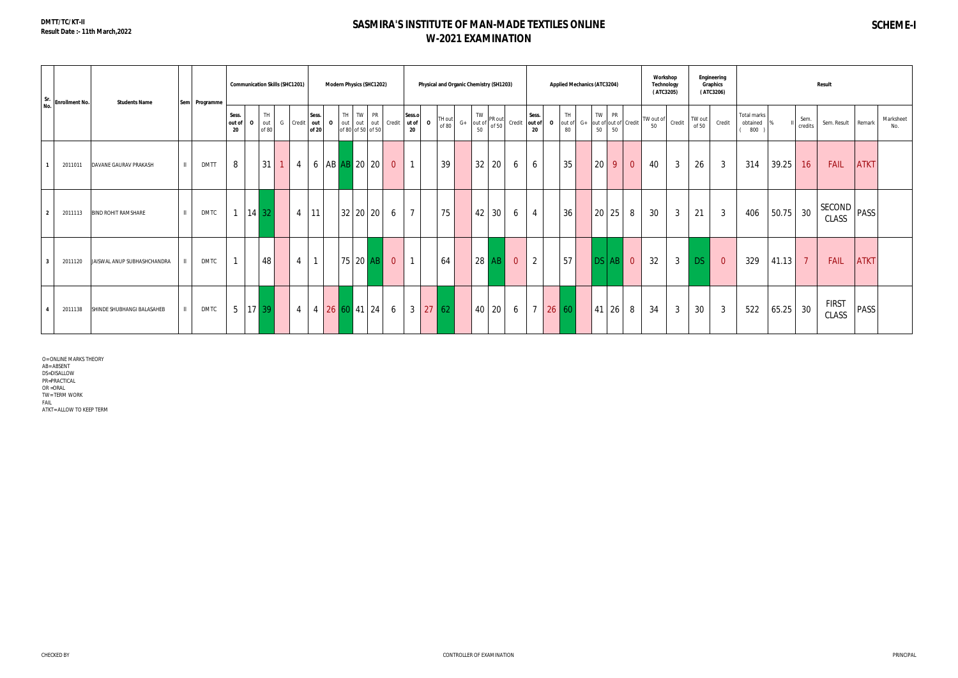# **SASMIRA'S INSTITUTE OF MAN-MADE TEXTILES ONLINE W-2021 EXAMINATION**

| Sr.<br>No. | <b>Enrollment No.</b> | <b>Students Name</b>        |              | Sem Programme |                       | <b>Communication Skills (SHC1201)</b> |                     |                |                                |           | <b>Modern Physics (SHC1202)</b>                     |                |                       | Physical and Organic Chemistry (SH1203) |                 |                                |                 |                |                       |              | <b>Applied Mechanics (ATC3204)</b> |      |          |                 |                      | Workshop<br>Technology<br>(ATC3205) |              |                 | Engineering<br><b>Graphics</b><br>(ATC3206) |                                |       |                 | <b>Result</b> |                        |             |                  |
|------------|-----------------------|-----------------------------|--------------|---------------|-----------------------|---------------------------------------|---------------------|----------------|--------------------------------|-----------|-----------------------------------------------------|----------------|-----------------------|-----------------------------------------|-----------------|--------------------------------|-----------------|----------------|-----------------------|--------------|------------------------------------|------|----------|-----------------|----------------------|-------------------------------------|--------------|-----------------|---------------------------------------------|--------------------------------|-------|-----------------|---------------|------------------------|-------------|------------------|
|            |                       |                             |              |               | Sess.<br>out of<br>20 | $\Omega$                              | TH.<br>out<br>of 80 |                | Sess.<br>G Credit out<br>of 20 | $\cdot$ 0 | TH TW PR<br>out out out Credit<br>of 80 of 50 of 50 |                | Sess.o<br>ut of<br>20 | $\Omega$                                | TH out<br>of 80 | <b>TW</b><br>$G+$ out of<br>50 | PR out<br>of 50 | Credit         | Sess.<br>out of<br>20 | $\mathbf{o}$ | <b>TH</b><br>out of<br>80          | $G+$ | TW<br>50 | <b>PR</b><br>50 | out of out of Credit | TW out of<br>50                     | Credit       | TW out<br>of 50 | Credit                                      | Total marks<br>obtained<br>800 |       | Sem.<br>credits |               | Sem. Result            | Remark      | Marksheet<br>No. |
|            | 2011011               | DAVANE GAURAV PRAKASH       | $\mathbf{H}$ | <b>DMTT</b>   | 8                     |                                       | 31                  | $\overline{4}$ | 6                              |           | AB AB 20 20                                         | $\overline{0}$ | $\mathbf{1}$          |                                         | 39              | 32                             | 20              | 6              | 6                     |              | 35                                 |      | 20       | 9               | $\overline{0}$       | 40                                  | $\mathbf{3}$ | 26              | $\mathbf{3}$                                | 314                            | 39.25 | 16              |               | FAIL                   | <b>ATKT</b> |                  |
|            | 2011113               | <b>BIND ROHIT RAMSHARE</b>  |              | <b>DMTC</b>   |                       | $14 \overline{32}$                    |                     |                | $4 \mid 11$                    |           | 32 20 20                                            | 6              | $7^{\circ}$           |                                         | 75              | 42                             | 30              | 6              | $\overline{4}$        |              | 36                                 |      | 20       | 25              | 8                    | 30                                  | $\mathbf{3}$ | 21              | $\mathbf{3}$                                | 406                            | 50.75 | 30              |               | <b>SECOND</b><br>CLASS | <b>PASS</b> |                  |
|            | 2011120               | JAISWAL ANUP SUBHASHCHANDRA |              | <b>DMTC</b>   |                       |                                       | 48                  | $\overline{4}$ | $\mathbf{1}$                   |           | $75$ 20 AB                                          | $\overline{0}$ | $\mathbf{1}$          |                                         | 64              | 28                             | AB              | $\overline{0}$ | $\overline{2}$        |              | 57                                 |      |          | $DSAB$ 0        |                      | 32                                  | $\mathbf{3}$ | <b>DS</b>       | $\overline{0}$                              | 329                            | 41.13 | $\overline{7}$  |               | FAIL                   | <b>ATKT</b> |                  |
|            | 2011138               | SHINDE SHUBHANGI BALASAHEB  |              | <b>DMTC</b>   | $5\overline{)}$       |                                       | $17 \overline{39}$  | $\overline{4}$ |                                |           | $4 \ 26 \ 60 \ 41 \ 24$                             | 6              | 3 <sup>1</sup>        | 27 62                                   |                 | 40                             | 20              | 6              | $\overline{7}$        | 26 60        |                                    |      | 41       | 26              | 8                    | 34                                  | $\mathbf{3}$ | 30              | $\mathbf{3}$                                | 522                            | 65.25 | 30              |               | <b>FIRST</b><br>CLASS  | PASS        |                  |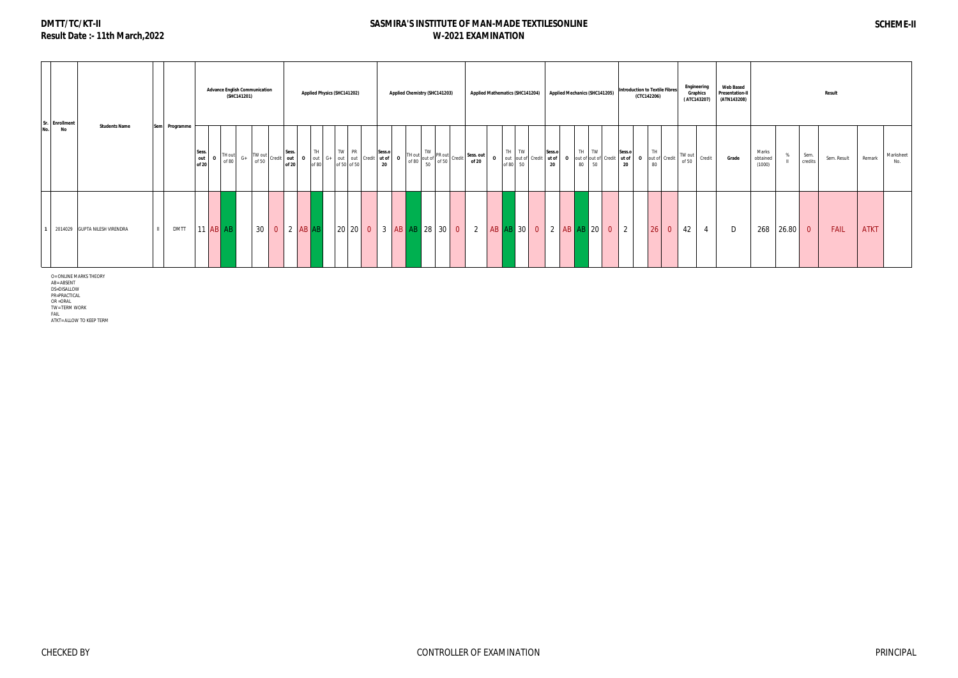# **SASMIRA'S INSTITUTE OF MAN-MADE TEXTILESONLINE W-2021 EXAMINATION**

|     | Sr. Enrollment | <b>Students Name</b>          | Sem I |             |                       |                 | (SHC141201) | <b>Advance English Communication</b>                                     |              |                |    | <b>Applied Physics (SHC141202)</b>                                                                                                                                                                                                         |        |              | Applied Chemistry (SHC141203)                                                                                                                                                                                                |  | <b>Applied Mathematics (SHC141204)</b> |                                          |                       |                         |    |               | <b>Applied Mechanics (SHC141205)</b> |                | <b>Introduction to Textile Fibres</b><br>(CTC142206) |                      |                                                 | Engineering<br>Graphics<br>(ATC143207) | <b>Web Based</b><br><b>Presentation-II</b><br>(ATN143208) |                             |       |                 | Result      |             |                  |
|-----|----------------|-------------------------------|-------|-------------|-----------------------|-----------------|-------------|--------------------------------------------------------------------------|--------------|----------------|----|--------------------------------------------------------------------------------------------------------------------------------------------------------------------------------------------------------------------------------------------|--------|--------------|------------------------------------------------------------------------------------------------------------------------------------------------------------------------------------------------------------------------------|--|----------------------------------------|------------------------------------------|-----------------------|-------------------------|----|---------------|--------------------------------------|----------------|------------------------------------------------------|----------------------|-------------------------------------------------|----------------------------------------|-----------------------------------------------------------|-----------------------------|-------|-----------------|-------------|-------------|------------------|
| No. | <b>No</b>      |                               |       | Programme   | Sess.<br>out<br>of 20 | TH out<br>of 80 | $G+$        | $\begin{array}{c c c c} \hline \end{array}$ TW out credit out l<br>of 50 |              | Sess.<br>of 20 | TH | TW PR<br><b>0</b> out of $\begin{bmatrix} 6+ \\ of 80 \end{bmatrix}$ out of $\begin{bmatrix} 6+ \\ of 50 \end{bmatrix}$ of $\begin{bmatrix} 6+ \\ of 50 \end{bmatrix}$ $\begin{bmatrix} 1 & 1 & 1 \\ 1 & 1 & 1 \\ 1 & 2 & 0 \end{bmatrix}$ | Sess.o | $\mathbf{o}$ | TW<br>$\left  \begin{array}{c} 1 \text{ of } 80 \\ 50 \end{array} \right $ of 50 $\left  \begin{array}{c} \text{PR out} \\ \text{ of } 50 \end{array} \right $ Credit $\left  \begin{array}{c} \text{O} \end{array} \right $ |  | Sess. out<br>of 20                     | TH TW<br>O out out of Credit<br>of 80 50 | Sess.o<br>ut of<br>20 | $\overline{\mathbf{0}}$ | 80 | TH TW<br>50   |                                      | Sess.o<br>20   | 80                                                   | TH <sub></sub>       | out of credit to the credit of the credit of 50 | Credit                                 | Grade                                                     | Marks<br>obtained<br>(1000) |       | Sem.<br>credits | Sem. Result | Remark      | Marksheet<br>No. |
|     |                | 2014029 GUPTA NILESH VIRENDRA |       | <b>DMTT</b> |                       | $11$ AB AB      |             |                                                                          | 30 0 2 AB AB |                |    |                                                                                                                                                                                                                                            |        |              | 20 20 0 3 AB AB 28 30 0                                                                                                                                                                                                      |  | $\overline{2}$                         | $AB$ $AB$ 30 0                           |                       |                         |    | $2  AB AB$ 20 | $\overline{0}$                       | $\overline{2}$ |                                                      | 26<br>$\overline{0}$ | 42                                              |                                        | D                                                         | 268                         | 26.80 | $\overline{0}$  | FAIL        | <b>ATKT</b> |                  |

O= ONLINE MARKS THEORY<br>AB= ABSENT<br>DS=DISALLOW<br>PR=PRACTICAL<br>PR =ORAL<br>OR =ORAL<br>TW= TERM WORK

FAIL ATKT= ALLOW TO KEEP TERM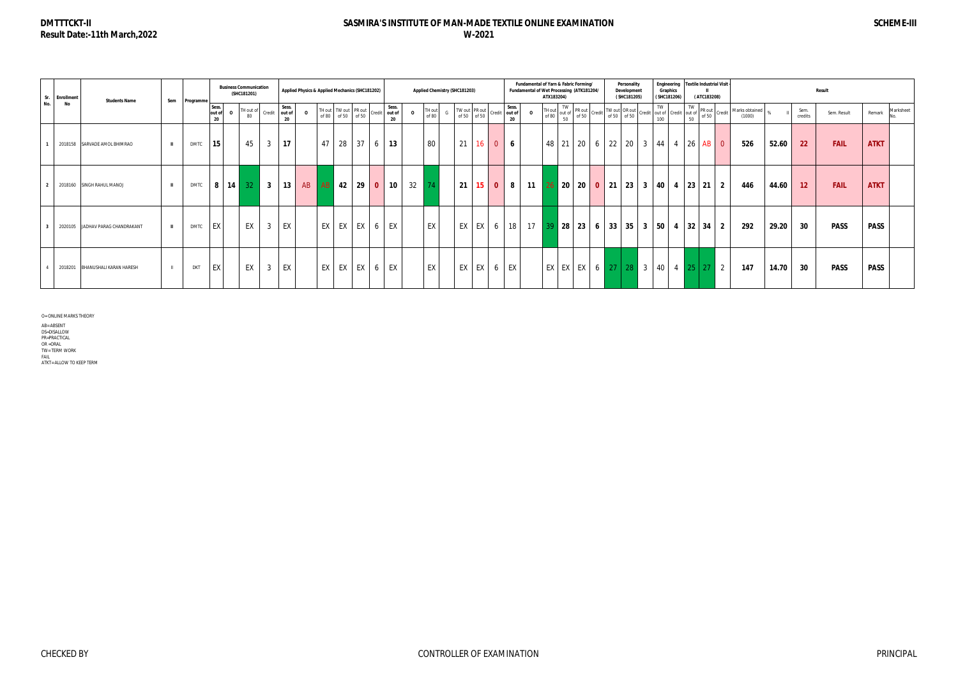### **SASMIRA'S INSTITUTE OF MAN-MADE TEXTILE ONLINE EXAMINATION W-2021**

O= ONLINE MARKS THEORY AB= ABSENT<br>DS=DISALLOW<br>PR=PRACTICAL<br>OR =ORAL<br>TW= TERM WORK<br>FAIL<br>ATKT= ALLOW TO KEEP TERM

|     | Sr. Enrollment | <b>Students Name</b>             | Sem          | Programme   |                       | <b>Business Communication</b><br>(SHC181201) |                         |                       |          |       |    | Applied Physics & Applied Mechanics (SHC181202) |                              |              | Applied Chemistry (SHC181203) |    |                              |                |             | Fundamental of Yarn & Fabric Forming/<br>Fundamental of Wet Processing (ATK181204/ | ATX183204)      |          |                                                                                  |                                     |                   | Personality<br>Development<br>(SHC181205) |                  | Graphics<br>(SHC181206) |                                   | (ATC183208) | Engineering   Textile Industrial Visit |                          |       |                 | Result      |             |                  |
|-----|----------------|----------------------------------|--------------|-------------|-----------------------|----------------------------------------------|-------------------------|-----------------------|----------|-------|----|-------------------------------------------------|------------------------------|--------------|-------------------------------|----|------------------------------|----------------|-------------|------------------------------------------------------------------------------------|-----------------|----------|----------------------------------------------------------------------------------|-------------------------------------|-------------------|-------------------------------------------|------------------|-------------------------|-----------------------------------|-------------|----------------------------------------|--------------------------|-------|-----------------|-------------|-------------|------------------|
| No. | No             |                                  |              |             | Sess.<br>out of<br>20 | TH out of<br>80                              | Credit                  | Sess.<br>out of<br>20 | $\Omega$ | of 80 |    | TH out TW out PR out<br>of 50 of 50             | Sess.<br>Credit out of<br>20 | $\Omega$     | TH out<br>of 80               |    | TW out PR out<br>of 50 of 50 | Credit out of  | Sess.<br>20 | $\Omega$                                                                           | TH out<br>of 80 | TW<br>50 | out of $\begin{array}{c c} \n\text{IVW} \\ \text{Out of 50}\n\end{array}$ Credit |                                     |                   | TW out OR out<br>of 50 of 50              |                  | TW  <br>100             | Credit out of Credit out of<br>50 |             | PR out<br>of 50 Credit                 | Marks obtained<br>(1000) |       | Sem.<br>credits | Sem. Result | Remark      | Marksheet<br>No. |
|     |                | 2018158 SARVADE AMOL BHIMRAO     | $\mathbf{H}$ | <b>DMTC</b> | 15                    | 45                                           | 3                       | 17                    |          | 47    | 28 | 37                                              | 13                           |              | 80                            |    | $21 \mid 16 \mid$            | $\overline{0}$ | 6           |                                                                                    |                 |          |                                                                                  | 48 21 20 6 22 20                    |                   |                                           |                  | $3 \mid 44 \mid 4$      |                                   | -26         | $AB$ 0                                 | 526                      | 52.60 | 22              | <b>FAIL</b> | <b>ATKT</b> |                  |
|     |                | 2018160 SINGH RAHUL MANOJ        | $\mathbf{H}$ | <b>DMTC</b> | 8                     | 14 <br>32 <sup>°</sup>                       | $\overline{\mathbf{3}}$ | 13 <sup>1</sup>       | AB       | AB    | 42 | 290                                             | 10 <sup>1</sup>              | $32 \mid 74$ |                               | 21 | 15 <sup>1</sup>              | $\mathbf{0}$   | 8           | 11                                                                                 |                 |          |                                                                                  | $26$ 20 20 0 21 23                  |                   |                                           | $3 \mid 40 \mid$ |                         | $4 \mid 23 \mid$                  | 21          | $\vert$ 2                              | 446                      | 44.60 | 12 <sup>2</sup> | <b>FAIL</b> | <b>ATKT</b> |                  |
|     |                | 2020105 JADHAV PARAG CHANDRAKANT | $\mathbf{H}$ | <b>DMTC</b> | EX                    | EX                                           |                         | EX                    |          | EX    | EX | $EX \mid 6$                                     | EX                           |              | EX                            |    | EX EX                        | 6              | 18          | 17                                                                                 | 39              |          | $\vert$ 28 $\vert$ 23 $\vert$                                                    | 6 <sup>1</sup>                      | $33 \mid 35 \mid$ |                                           | $3 \mid 50 \mid$ |                         | 32<br>4                           |             | $34 \mid 2$                            | 292                      | 29.20 | 30              | <b>PASS</b> | <b>PASS</b> |                  |
|     |                | 2018201 BHANUSHALI KARAN HARESH  | $\mathbf{H}$ | <b>DKT</b>  | EX                    | EX                                           | 3                       | EX                    |          | EX    |    | $EX$ $EX$ $6$ $EX$                              |                              |              | EX                            |    | EX EX                        |                | 6   EX      |                                                                                    |                 |          |                                                                                  | EX   EX   EX   6   27   28   3   40 |                   |                                           |                  |                         | 4 25                              | 27          | $\blacksquare$ 2                       | 147                      | 14.70 | 30              | <b>PASS</b> | <b>PASS</b> |                  |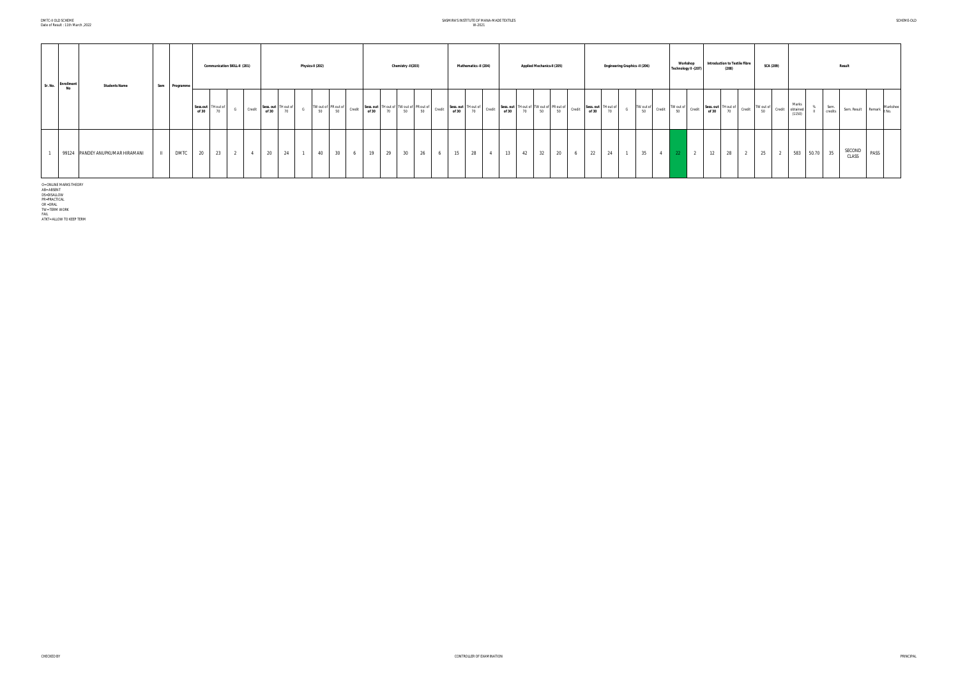# SASMIRA'S INSTITUTE OF MANA-MADE TEXTILES W-2021

| Sr. No. | Enrollment<br>No | <b>Students Name</b>            | Sem | Programme   |       | <b>Communication SKILL-II (201)</b> |   |        |                    |                 | Physics-II (202) |                                 |     |    |    | Chemistry -II(203) |                                                                               |    | Mathematics -II (204)              |    | <b>Applied Mechanics-II (205)</b>                                                |    |   |    |                           | Engineering Graphics -II (206) |                 |                | Workshop<br>Technology II -(207)                                             |    | <b>Introduction to Textile Fibre</b><br>(208)              |   |    | <b>SCA (209)</b> |                                    |                 | <b>Result</b>               |      |  |
|---------|------------------|---------------------------------|-----|-------------|-------|-------------------------------------|---|--------|--------------------|-----------------|------------------|---------------------------------|-----|----|----|--------------------|-------------------------------------------------------------------------------|----|------------------------------------|----|----------------------------------------------------------------------------------|----|---|----|---------------------------|--------------------------------|-----------------|----------------|------------------------------------------------------------------------------|----|------------------------------------------------------------|---|----|------------------|------------------------------------|-----------------|-----------------------------|------|--|
|         |                  |                                 |     |             | of 30 | Sess.out TH out of<br>70            |   | Credit | Sess. out<br>of 30 | TH out of<br>70 |                  | TW out of PR out of<br>50<br>50 |     |    |    |                    | Credit Sess.out TH out of TW out of PR out of Credit<br>of 30 70 50 50 Credit |    | Sess. out TH out of<br>of 30<br>70 |    | Credit Sess.out THout of TW out of PR out of Credit Sess.out of 30 70 50 50 6130 |    |   |    | TH out of $\frac{70}{70}$ |                                | TW out of<br>50 | Credit         | $\begin{array}{c c}\n\text{TW out of} & \text{Credit} \\ 50 & & \end{array}$ |    | Sess. out TH out of Credit TW out of<br>of 30 70 Credit 50 |   |    |                  | Marks<br>Credit obtained<br>(1150) | Sem.<br>credits | Sem. Result Remark Markshee |      |  |
|         |                  | 99124 PANDEY ANUPKUMAR HIRAMANI |     | <b>DMTC</b> | 20    | 23                                  | 2 | 4      | 20                 | 24              | $\sim$           | 30<br>40                        | 6 1 | 19 | 29 | 30 26              |                                                                               | 15 | 28                                 | 13 | 32<br>42                                                                         | 20 | 6 | 22 | 24                        | $-1$                           | 35              | $4\phantom{0}$ | $\overline{2}$<br>$-22$                                                      | 12 | 28                                                         | 2 | 25 |                  | 2 583 50.70                        |                 | SECOND<br>CLASS             | PASS |  |

O= ONLINE MARKS THEORY<br>AB= ABSENT<br>DS=DISALLOW<br>PR=PRACTICAL<br>PR=PRACTICAL<br>OR = TERM WORK<br>TATKT= ALLOW TO KEEP TERM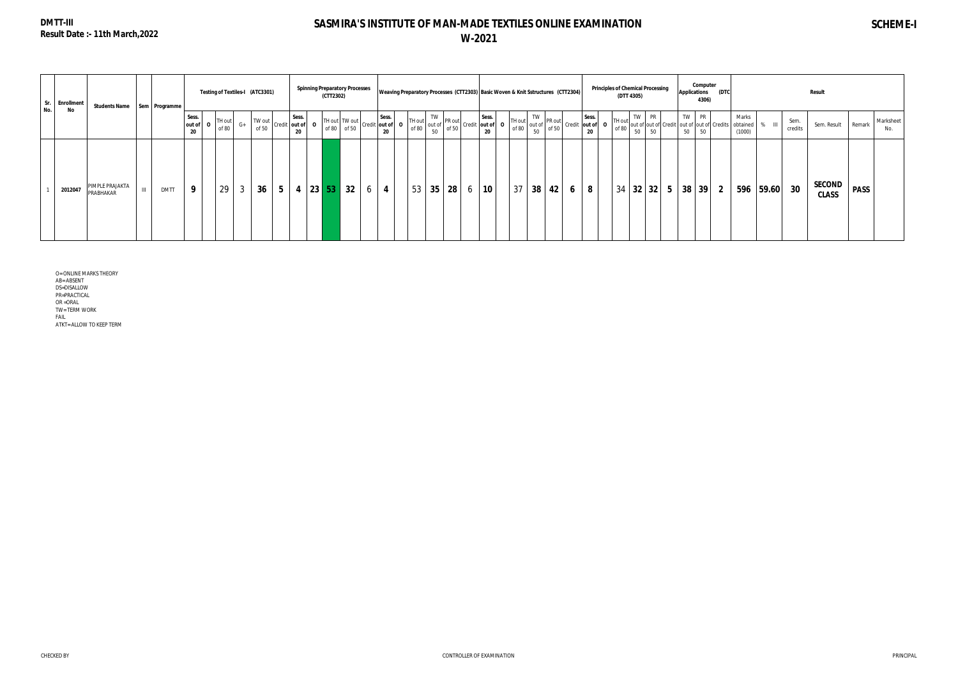# **DMTT-III Result Date :- 11th March,2022**

# **SASMIRA'S INSTITUTE OF MAN-MADE TEXTILES ONLINE EXAMINATION W-2021**

| Sr.<br><b>Enrollment</b><br>No. |                              | Students Name   Sem   Programme |                         |                 |      | Testing of Textiles-I (ATC3301) |                |                                                     | <b>Spinning Preparatory Processes</b><br>(CTT2302) |    |                                                                                                                                                                                                                                                    |    |                   |   |    |    | Weaving Preparatory Processes (CTT2303) Basic Woven & Knit Sstructures (CTT2304) |   |                                | (DTT 4305) |       | <b>Principles of Chemical Processing</b> |                            | <b>Applications</b> | Computer<br>4306) | (DTC           |                                                   |           |                 | Result                        |             |                  |
|---------------------------------|------------------------------|---------------------------------|-------------------------|-----------------|------|---------------------------------|----------------|-----------------------------------------------------|----------------------------------------------------|----|----------------------------------------------------------------------------------------------------------------------------------------------------------------------------------------------------------------------------------------------------|----|-------------------|---|----|----|----------------------------------------------------------------------------------|---|--------------------------------|------------|-------|------------------------------------------|----------------------------|---------------------|-------------------|----------------|---------------------------------------------------|-----------|-----------------|-------------------------------|-------------|------------------|
| No                              |                              |                                 | Sess.<br>out of 0<br>20 | TH out<br>of 80 | $G+$ | TW out                          |                | Sess.<br>$\sim$   of 50   Credit   out of   0<br>20 |                                                    |    | TH out TW out<br>of 80 of 50 Credit out of 90 of 80 of 80 of 50 credit out of 90 of 80 of 50 credit out of 90 of 80 of 50 credit out of 90 of 80 credit $\begin{bmatrix}$ 50 credit out of 90 of 80 of 50 credit $\begin{bmatrix}$ 50 credit out o |    |                   |   |    |    | TH out $\begin{bmatrix} TW\\ \text{of } 80\\ 50 \end{bmatrix}$ PR out of 50      |   | Sess.<br>Credit out of 0<br>20 | TH out     | TW PR |                                          | of 80 out of out of Credit | TW PR<br>50         | 50                |                | Marks<br>out of out of Credits obtained<br>(1000) |           | Sem.<br>credits | Sem. Result                   | Remark      | Marksheet<br>No. |
| 2012047                         | PIMPLE PRAJAKTA<br>PRABHAKAR | <b>DMTT</b>                     | 9                       | 29              | 3    | 36 <sup>°</sup>                 | 5 <sub>1</sub> | $4 \mid 23 \mid 53 \mid$                            |                                                    | 32 | 4                                                                                                                                                                                                                                                  | 53 | $35 \mid 28 \mid$ | 6 | 10 | 37 | $38 \mid 42 \mid$                                                                | 6 | 8                              |            |       |                                          | $34$ 32 32 5               | $38 \mid 39 \mid$   |                   | 2 <sup>1</sup> |                                                   | 596 59.60 | 30              | <b>SECOND</b><br><b>CLASS</b> | <b>PASS</b> |                  |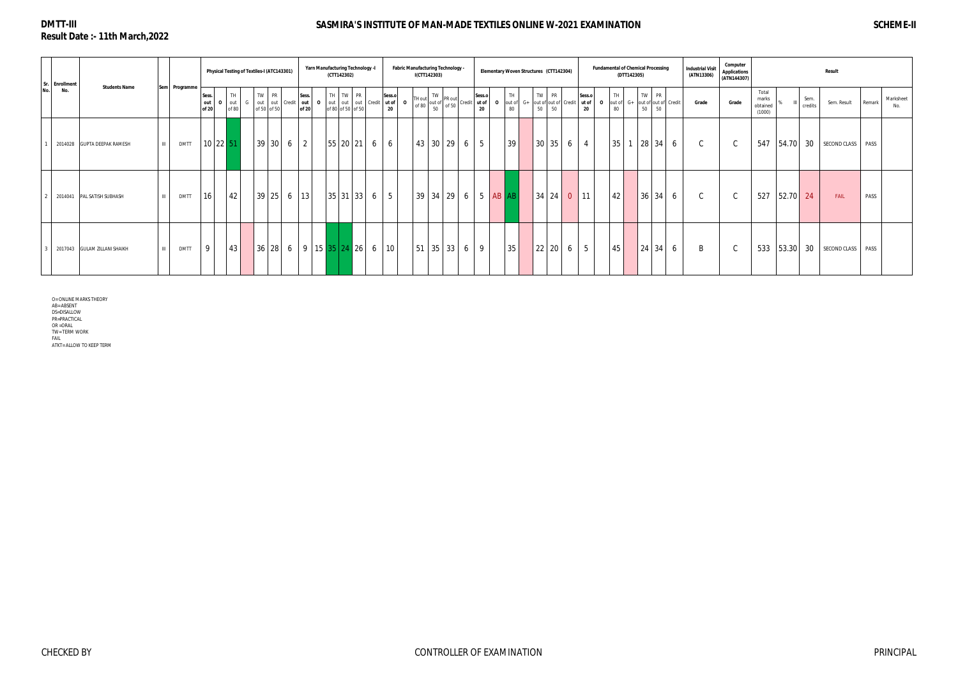# **DMTT-III Result Date :- 11th March,2022**

# **SASMIRA'S INSTITUTE OF MAN-MADE TEXTILES ONLINE W-2021 EXAMINATION SCHEME-II**

| Sr. Enrollment               |                             |              |               |                       |                | Physical Testing of Textiles-I (ATC143301) |      |                          |                    | Yarn Manufacturing Technology -I                  | (CTT142302)                   |                          |                 |     | I(CTT142303)    |    | <b>Fabric Manufacturing Technology -</b>                                                                                                                                                                                                          |                |             |                         | Elementary Woven Structures (CTT142304)   |    |                 |                | <b>Fundamental of Chemical Processing</b> | (DTT142305) |    |                                     |   | <b>Industrial Visit</b><br>(ATN13306) | Computer<br><b>Applications</b><br>(ATN144307) |                                      |       |                 | <b>Result</b>       |                            |
|------------------------------|-----------------------------|--------------|---------------|-----------------------|----------------|--------------------------------------------|------|--------------------------|--------------------|---------------------------------------------------|-------------------------------|--------------------------|-----------------|-----|-----------------|----|---------------------------------------------------------------------------------------------------------------------------------------------------------------------------------------------------------------------------------------------------|----------------|-------------|-------------------------|-------------------------------------------|----|-----------------|----------------|-------------------------------------------|-------------|----|-------------------------------------|---|---------------------------------------|------------------------------------------------|--------------------------------------|-------|-----------------|---------------------|----------------------------|
| No.<br>No.                   | <b>Students Name</b>        |              | Sem Programme | Sess.<br>out<br>of 20 |                | TH<br>out<br>of 80                         | TW I | <b>PR</b><br>of 50 of 50 | out out Credit out | Sess.<br>$\Omega$<br>of 20                        | TH TW PR<br>of 80 of 50 of 50 | out out out Credit ut of | Sess.o<br>20    | - 0 | TH out<br>of 80 |    | $\begin{bmatrix} 1 & 1 & 1 & 1 \\ 1 & 1 & 1 & 1 \\ 1 & 1 & 1 & 1 \\ 1 & 1 & 1 & 1 \end{bmatrix}$ and $\begin{bmatrix} 1 & 1 & 1 \\ 1 & 1 & 1 \\ 1 & 1 & 1 \end{bmatrix}$ or $\begin{bmatrix} 1 & 1 & 1 \\ 1 & 1 & 1 \\ 1 & 1 & 1 \end{bmatrix}$ . |                | $\mathbf 0$ | TH<br>out of $G+$<br>80 | TW PR<br>out of out of Credit ut of<br>50 | 50 | Sess.o<br>20    | $\mathbf{o}$   | TH.<br>out of<br>80                       | $G+$        | 50 | TW PR<br>out of out of Credit<br>50 |   | Grade                                 | Grade                                          | Total<br>marks<br>obtained<br>(1000) | ℀     | Sem.<br>credits | Sem. Result         | Marksheet<br>Remark<br>No. |
|                              | 2014028 GUPTA DEEPAK RAMESH | $\mathbf{H}$ | <b>DMTT</b>   |                       | $10 \ 22 \ 51$ |                                            |      | 39 30                    | 6                  | $\overline{2}$                                    | 55 20 21 6                    |                          | 6               |     | 43 30           |    | 29<br>6                                                                                                                                                                                                                                           | 5 <sup>5</sup> |             | 39                      | 30 35                                     | 6  |                 | $\overline{4}$ | 35                                        |             |    | $28 \mid 34$                        | 6 | $\sim$                                | $\sqrt{2}$<br>◡                                | 547                                  | 54.70 | 30              | SECOND CLASS        | PASS                       |
| 2014041 PAL SATISH SUBHASH   |                             | $\mathbf{H}$ | <b>DMTT</b>   | 16                    |                | 42                                         |      | $39 \mid 25$             | 6                  | 13                                                | $35 \mid 31 \mid 33 \mid 6$   |                          | 5 <sup>5</sup>  |     | 39              |    | $34 \mid 29 \mid 6$                                                                                                                                                                                                                               |                | $5$ AB $AB$ |                         | 34 24                                     | 0  | 11              |                | 42                                        |             |    | $36 \mid 34$                        | 6 | $\sim$                                | <sup>-</sup> C                                 | 527                                  | 52.70 | 24              | FAIL                | PASS                       |
| 2017043 GULAM ZILLANI SHAIKH |                             | $\mathbf{H}$ | <b>DMTT</b>   | 9                     |                | 43                                         |      | 36 28                    |                    | $6 \mid 9 \mid 15 \mid 35 \mid 24 \mid 26 \mid 6$ |                               |                          | 10 <sup>°</sup> |     | 51              | 35 | 33<br>6                                                                                                                                                                                                                                           | 9              |             | 35                      | 22 20                                     | 6  | $5\overline{)}$ |                | 45                                        |             | 24 | 34                                  | 6 | <sup>B</sup>                          | $\sim$<br>└                                    | 533                                  | 53.30 | 30              | <b>SECOND CLASS</b> | PASS                       |

O= ONLINE MARKS THEORY AB= ABSENT DS=DISALLOW PR=PRACTICAL

OR =ORAL TW= TERM WORK

FAIL

ATKT= ALLOW TO KEEP TERM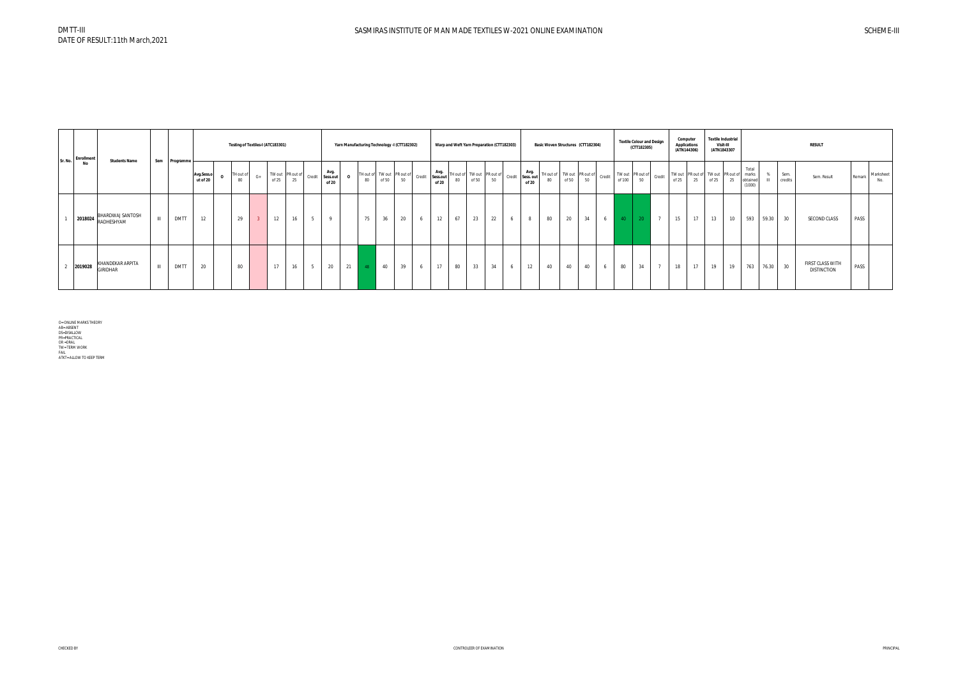| Sr. No. | <b>Enrollment</b> |                                                                                                           |              |             |                        |                 |                | Testing of Textiles-I (ATC183301) |    |                                     |          |    |       | Yarn Manufacturing Technology -I (CTT182302) |        | Warp and Weft Yarn Preparation (CTT182303) |    |    |    |   |       |    |       | Basic Woven Structures (CTT182304)      |        | <b>Textile Colour and Design</b><br>(CTT182305) |                |       | Computer<br><b>Applications</b><br>(ATN144306) | <b>Textile Industrial</b><br>Visit-III<br>(ATN1843307 |    |                                      |                 | <b>RESULT</b>                          |        |                  |
|---------|-------------------|-----------------------------------------------------------------------------------------------------------|--------------|-------------|------------------------|-----------------|----------------|-----------------------------------|----|-------------------------------------|----------|----|-------|----------------------------------------------|--------|--------------------------------------------|----|----|----|---|-------|----|-------|-----------------------------------------|--------|-------------------------------------------------|----------------|-------|------------------------------------------------|-------------------------------------------------------|----|--------------------------------------|-----------------|----------------------------------------|--------|------------------|
|         | No                | <b>Students Name</b>                                                                                      | Sem          | Programme   | Avg.Sess.o<br>ut of 20 | TH out of<br>80 | $G+$           | TW out PR out of<br>of $25$       | 25 | Avg.<br>Credit<br>Sess.out<br>of 20 | $\Omega$ | 80 | of 50 | TH out of TW out PR out of<br>50             | Credit | Avg.<br>Sess.out<br>of 20                  |    |    |    |   | of 20 |    | of 50 | TH out of TW out PR out of Credit<br>50 | of 100 | $\therefore$ TW out PR out of Credit I<br>50    |                | of 25 | 25                                             | TW out PR out of TW out PR out of<br>of 25            | 25 | Total<br>marks<br>obtained<br>(1000) | Sem.<br>credits | Sem. Result                            | Remark | Marksheet<br>No. |
|         |                   | BHARDWAJ SANTOSH<br>$\begin{array}{ c c c c c }\n\hline\n\text{2018024} & \text{RADHESHYAM}\n\end{array}$ | $\mathbf{H}$ | DMTT        | 12                     | 29              | $\overline{2}$ | 12                                | 16 | $\mathbf{q}$                        |          | 75 | 36    | 20                                           |        | 12                                         | 67 | 23 | 22 | 6 | 8     | 80 | 20    | 34<br>$6-1$                             | 40     | 20                                              | $\overline{7}$ | 15    | 17                                             | 13                                                    | 10 | 593<br>59.30                         | 30              | SECOND CLASS                           | PASS   |                  |
|         | 2019028           | KHANDEKAR ARPITA<br><b>GIRIDHAR</b>                                                                       | $\mathbf{H}$ | <b>DMTT</b> | 20                     | 80              |                | 17                                | 16 | 20                                  | 21       | 48 | 40    | 39                                           |        | 17                                         | 80 | 33 | 34 | 6 | 12    | 40 | 40    | 40<br>6                                 | 80     | 34                                              | $\mathbf{r}$   | 18    | 17                                             | 19                                                    | 19 | 763<br>76.30                         | 30              | FIRST CLASS WITH<br><b>DISTINCTION</b> | PASS   |                  |

O= ONLINE MARKS THEORY<br>AB= ABSENT<br>DS=DISALLOW<br>DS=DISALLOW<br>PR=PRACTICAL<br>OR =ORAL<br>TW= TERM WORK<br>ATKT= ALLOW TO KEEP TERM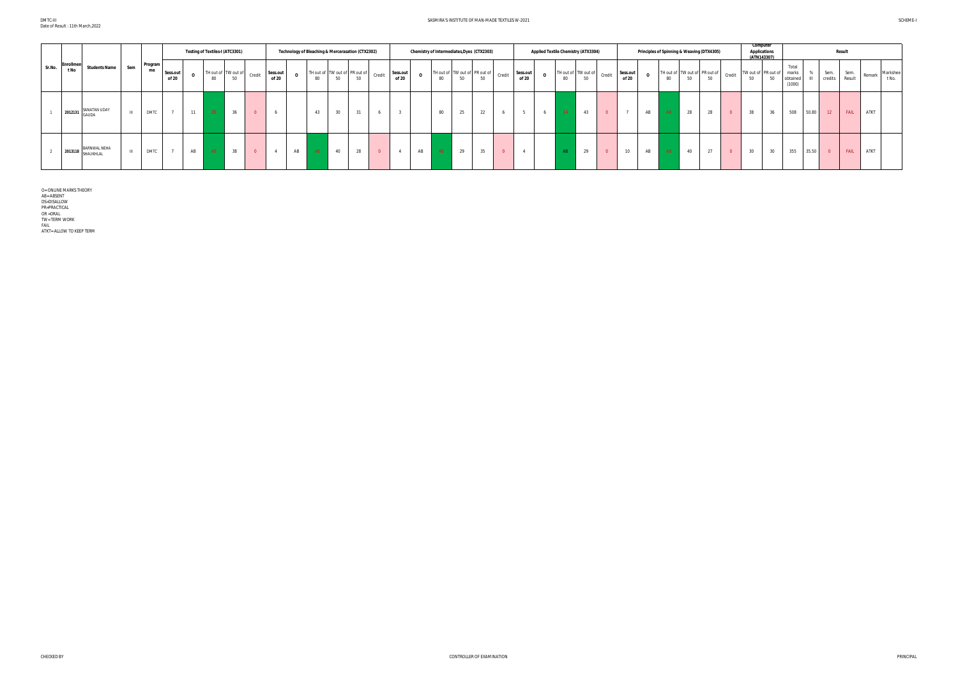#### SASMIRA'S INSTITUTE OF MAN-MADE TEXTILES W-2021 SCHEME-I

|        |                          |                                  |     |               |                   |    | Testing of Textiles-I (ATC3301) |    |                         |                   |    |    | Technology of Bleaching & Mercerasation (CTX2302) |    |                |                   |    | Chemistry of Intermediates, Dyes (CTX2303) |    |    |        |                   | <b>Applied Textile Chemistry (ATX3304)</b> |    |    |                                                                                                      |                   | Principles of Spinning & Weaving (DTX4305) |    |                                     |           |        | Computer<br><b>Applications</b><br>(ATN143307) |    |                                      |       |                         | <b>Result</b>  |        |                   |
|--------|--------------------------|----------------------------------|-----|---------------|-------------------|----|---------------------------------|----|-------------------------|-------------------|----|----|---------------------------------------------------|----|----------------|-------------------|----|--------------------------------------------|----|----|--------|-------------------|--------------------------------------------|----|----|------------------------------------------------------------------------------------------------------|-------------------|--------------------------------------------|----|-------------------------------------|-----------|--------|------------------------------------------------|----|--------------------------------------|-------|-------------------------|----------------|--------|-------------------|
| Sr.No. | <b>Enrollmer</b><br>t No | <b>Students Name</b>             | Sem | Program<br>me | Sess.out<br>of 20 |    | 80                              | 50 |                         | Sess.out<br>of 20 |    | 80 | TH out of TW out of PR out of<br>50               | 50 | Credit         | Sess.out<br>of 20 |    | TH out of TW out of PR out of<br>80        | 50 | 50 | Credit | Sess.out<br>of 20 | $\Omega$                                   | 80 | 50 | TH out of $\begin{vmatrix} TW\ out\ of\ \end{vmatrix}$ Credit $\begin{vmatrix} S^{av} \end{vmatrix}$ | Sess.out<br>of 20 |                                            | 80 | TH out of TW out of PR out of<br>50 | 50        | Credit | TW out of PR out of<br>50                      | 50 | Total<br>marks<br>obtained<br>(1000) |       | Sem.<br>credits         | Sem.<br>Result | Remark | Markshee<br>t No. |
|        | 2012131                  | SANATAN UDAY<br><b>GAUDA</b>     |     | <b>DMTC</b>   | 7                 | 11 | 26                              | 36 | $\Omega$                |                   |    | 43 | 30                                                | 24 |                |                   |    | 80                                         | 25 | 22 |        |                   |                                            | 14 | 43 |                                                                                                      |                   | AB                                         | AB | 28                                  | ററ<br>-28 |        | 38                                             | 36 | 508                                  | 50.80 | 12                      | FAIL           | ATKT   |                   |
|        | 2013118                  | <b>BARNWAL NEHA</b><br>SHAUKHLAL |     | <b>DMTC</b>   | 7                 | AB | AB                              | 38 | $\overline{\mathbf{0}}$ | $\overline{4}$    | AB | AB | 40                                                | 28 | $\overline{0}$ |                   | AB | AB                                         | 29 | 35 |        |                   |                                            |    | 29 |                                                                                                      | 10                | AB                                         | AB | 40                                  | 27        |        | 30                                             | 30 | 355                                  | 35.50 | $\overline{\mathbf{0}}$ | FAIL           | ATKT   |                   |

O= ONLINE MARKS THEORY<br>AB= ABSENT<br>DS=DISALLOW<br>PR=PRACTICAL<br>PR=PRACTICAL<br>OR = TERM WORK<br>TIKT= ALLOW TO KEEP TERM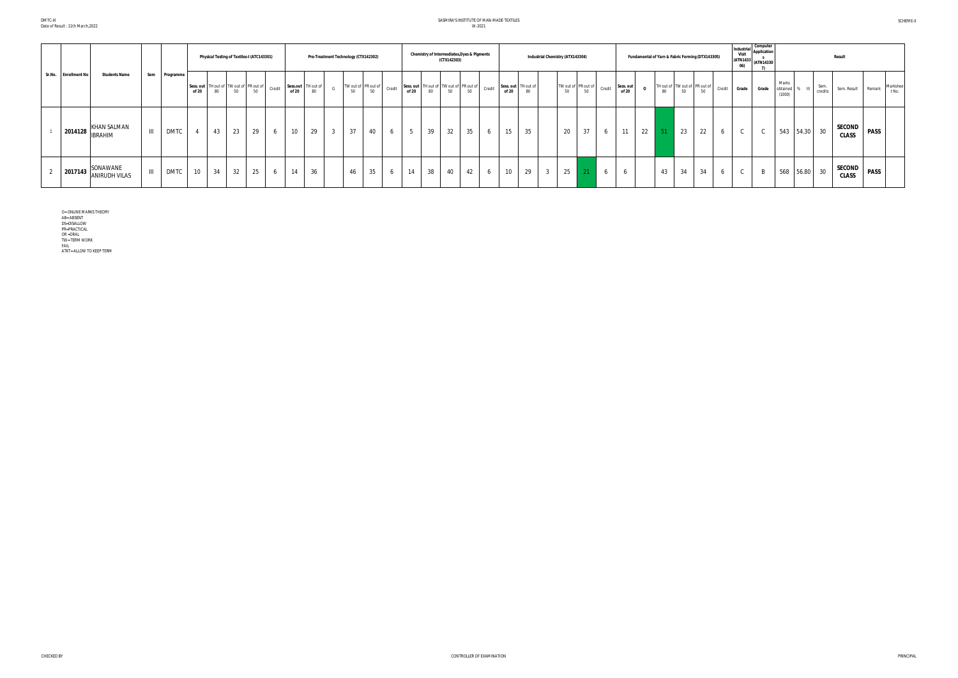# SASMIRA'S INSTITUTE OF MAN-MADE TEXTILES W-2021

|                                                 |                                    |             |       |    |    | Physical Testing of Textiles-I (ATC143301)                            |                             |    | Pre-Treatment Technology (CTX142302) |    |                     |        |                                                         |    | (CTX142303) | Chemistry of Intermediates, Dyes & Pigments |          |                              |    | <b>Industrial Chemistry (ATX143304)</b> |    |                                                 |   |                    |          |    |    | Fundamental of Yarn & Fabric Forming (DTX143305) |        | Industria<br>Visit<br>06) | Computer<br><b>Application</b><br>(ATN1433 (ATN14330) |                               |              |                 | <b>Result</b>                 |             |                   |
|-------------------------------------------------|------------------------------------|-------------|-------|----|----|-----------------------------------------------------------------------|-----------------------------|----|--------------------------------------|----|---------------------|--------|---------------------------------------------------------|----|-------------|---------------------------------------------|----------|------------------------------|----|-----------------------------------------|----|-------------------------------------------------|---|--------------------|----------|----|----|--------------------------------------------------|--------|---------------------------|-------------------------------------------------------|-------------------------------|--------------|-----------------|-------------------------------|-------------|-------------------|
| Sr.No. Enrollment No<br><b>Students Name</b>    | Sem                                | Programme   | of 20 | 80 | 50 | Sess. out   TH out of   TW out of   PR out of   credit   $\sim$<br>50 | Sess.out TH out of<br>of 20 | 80 | G                                    | 50 | TW out of PR out of | Credit | Sess. out TH out of TW out of PR out of Credit<br>of 20 | 80 | 50          | 50                                          |          | Sess. out TH out of<br>of 20 | 80 |                                         | 50 | TW out of PR out of Credit $\int_{0}^{8}$<br>50 |   | Sess. out<br>of 20 | $\Omega$ |    |    | TH out of TW out of PR out of<br>80 50 50        | Credit | Grade                     | Grade                                                 | Marks<br>obtained %<br>(1000) |              | Sem.<br>credits | Sem. Result                   | Remark      | Markshee<br>t No. |
| <b>KHAN SALMAN</b><br>2014128<br><b>IBRAHIM</b> | $\mathbf{H}$                       | <b>DMTC</b> |       | 43 | 23 | 29                                                                    | 10 <sup>°</sup>             | 29 | $\overline{3}$                       | 37 | 40                  |        | -5                                                      | 39 | 32          | 35                                          | $\sigma$ | 15                           | 35 |                                         | 20 | 37                                              | 6 | 11                 | 22       |    | 23 | 22                                               |        |                           |                                                       |                               | 543 54.30 30 |                 | SECOND<br><b>CLASS</b>        | <b>PASS</b> |                   |
| SONAWANE<br>2017143<br><b>ANIRUDH VILAS</b>     | $\ensuremath{\mathsf{III}}\xspace$ | <b>DMTC</b> | 10    | 34 | 32 | 25                                                                    | 14                          | 36 |                                      | 46 | 35                  |        | 14                                                      | 38 | 40          | 42                                          | 6        | 10                           | 29 | $\mathbf{3}$                            | 25 |                                                 |   | <sub>0</sub>       |          | 43 | 34 | 34                                               |        | $\sim$                    |                                                       |                               | 568 56.80 30 |                 | <b>SECOND</b><br><b>CLASS</b> | <b>PASS</b> |                   |

O= ONLINE MARKS THEORY<br>AB= ABSENT<br>DS=DISALLOW<br>PR=PRACTICAL<br>PR=PRACTICAL<br>OR =ORAL<br>TW= TERM WORK<br>ATKT= ALLOW TO KEEP TERM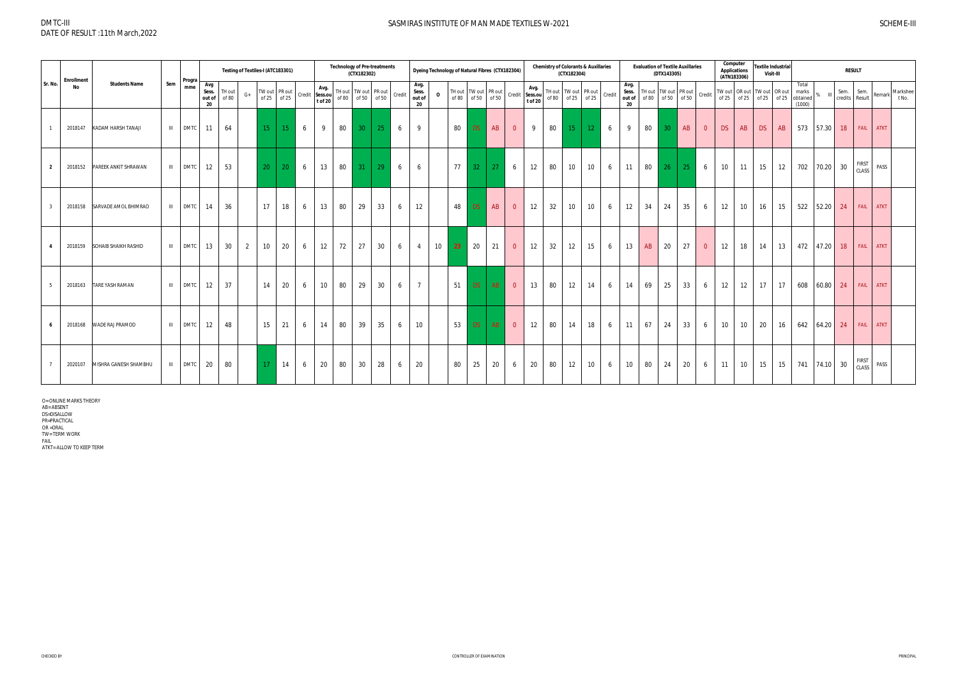|                | <b>Enrollment</b> |                        |                | Progra      |                                | Testing of Textiles-I (ATC183301) |                 |                              |   |                                   |       | <b>Technology of Pre-treatments</b><br>(CTX182302) |                       |        |                               | Dyeing Technology of Natural Fibres (CTX182304) |       |                 |                                     |                |                 |    | (CTX182304)              | <b>Chemistry of Colorants &amp; Auxillaries</b> |        |                               |    | <b>Evaluation of Textile Auxillaries</b><br>(DTX143305)                                                             |    |                | Computer<br><b>Applications</b><br>(ATN183306) |                                            | Visit-III   | <b>Textile Industrial</b> |                                      |              |                        | <b>RESULT</b>                |             |                   |
|----------------|-------------------|------------------------|----------------|-------------|--------------------------------|-----------------------------------|-----------------|------------------------------|---|-----------------------------------|-------|----------------------------------------------------|-----------------------|--------|-------------------------------|-------------------------------------------------|-------|-----------------|-------------------------------------|----------------|-----------------|----|--------------------------|-------------------------------------------------|--------|-------------------------------|----|---------------------------------------------------------------------------------------------------------------------|----|----------------|------------------------------------------------|--------------------------------------------|-------------|---------------------------|--------------------------------------|--------------|------------------------|------------------------------|-------------|-------------------|
| Sr. No.        | No                | <b>Students Name</b>   | Sem            | mme         | Avg<br>Sess.<br>out of<br>- 20 | TH out<br>$G+$<br>of 80           |                 | TW out PR out<br>of 25 of 25 |   | Avg.<br>Credit Sess.ou<br>t of 20 | of 80 | TH out TW out                                      | PR out<br>of 50 of 50 | Credit | Avg.<br>Sess.<br>out of<br>20 | $\mathbf{o}$                                    | of 80 |                 | TH out TW out PR out<br>of 50 of 50 | Credit Sess.ou | Avg.<br>t of 20 |    | TH out   TW out   PR out | of 80 of 25 of 25                               | Credit | Avg.<br>Sess.<br>out of<br>20 |    | TH out TW out PR out<br>of 80   of 50   $\left  \begin{array}{c} 0.1 & 0.01 \\ 0 & 0.50 \end{array} \right $ Credit |    |                |                                                | TW out OR out TW out OR out<br>of 25 of 25 | of 25 of 25 |                           | Total<br>marks<br>obtained<br>(1000) | %            | Sem.<br>credits Result | Sem.                         | Remark      | Markshee<br>t No. |
|                | 2018147           | KADAM HARSH TANAJI     |                | III DMTC    | 11                             | 64                                | 15 <sup>2</sup> | 15 <sup>2</sup>              | 6 | 9                                 | 80    | 30 <sup>°</sup>                                    | 25                    | 6      | 9                             |                                                 | 80    | DS              | AB                                  | $\overline{0}$ | 9               | 80 | 15 <sup>2</sup>          | 12 <sup>2</sup>                                 | 6      | 9                             | 80 | 30 <sup>°</sup>                                                                                                     | AB | $\overline{0}$ | DS                                             | AB                                         | DS          | AB                        |                                      | 573 57.30    | 18                     | <b>FAIL</b>                  | <b>ATKT</b> |                   |
| $\overline{2}$ | 2018152           | PAREEK ANKIT SHRAWAN   |                | III DMTC    | 12                             | 53                                | 20              | 20                           | 6 | 13                                | 80    | 31 <sup>2</sup>                                    | 29                    | 6      | 6                             |                                                 | 77    | 32 <sup>2</sup> | 27                                  | 6              | 12              | 80 | 10                       | 10                                              | 6      | 11                            | 80 | 26                                                                                                                  | 25 | 6              | 10                                             | 11                                         | 15          | 12                        | 702                                  | 70.20 30     |                        | <b>FIRST</b><br><b>CLASS</b> | PASS        |                   |
|                | 2018158           | SARVADE AMOL BHIMRAO   |                | III DMTC    | 14                             | 36                                | 17              | 18                           | 6 | 13                                | 80    | 29                                                 | 33                    | 6      | 12                            |                                                 | 48    | DS.             | AB                                  | $\overline{0}$ | 12              | 32 | 10                       | 10                                              | 6      | 12                            | 34 | 24                                                                                                                  | 35 | 6              | 12                                             | 10 <sup>°</sup>                            | 16          | 15                        | 522                                  | 52.20 24     |                        | FAIL                         | <b>ATKT</b> |                   |
|                | 2018159           | SOHAIB SHAIKH RASHID   |                | III DMTC    | 13                             | 30<br>2                           | 10 <sup>°</sup> | 20                           | 6 | 12 <sup>2</sup>                   | 72    | 27                                                 | 30                    | 6      | $\overline{4}$                | 10 <sup>1</sup>                                 | 23    | 20              | 21                                  | $\overline{0}$ | 12              | 32 | 12                       | 15                                              | 6      | 13                            | AB | 20                                                                                                                  | 27 | $\overline{0}$ | 12                                             | 18                                         | 14          | 13                        | 472                                  | 47.20        | 18                     | FAIL                         | <b>ATKT</b> |                   |
| - 5            | 2018163           | <b>TARE YASH RAMAN</b> |                | III DMTC    | 12                             | 37                                | 14              | 20                           | 6 | 10 <sup>1</sup>                   | 80    | 29                                                 | 30                    | 6      | $7\overline{ }$               |                                                 | 51    | DS -            | AB                                  | $\overline{0}$ | 13              | 80 | 12                       | 14                                              | 6      | 14                            | 69 | 25                                                                                                                  | 33 | 6              | 12                                             | 12                                         | 17          | 17                        | 608                                  | 60.80 24     |                        | FAIL                         | <b>ATKT</b> |                   |
|                | 2018168           | WADE RAJ PRAMOD        | $\mathbf{III}$ | <b>DMTC</b> | 12                             | 48                                | 15              | 21                           | 6 | 14                                | 80    | 39                                                 | 35                    | 6      | 10                            |                                                 | 53    | DS              | AB                                  | $\overline{0}$ | 12              | 80 | 14                       | 18                                              | 6      | 11                            | 67 | 24                                                                                                                  | 33 | 6              | 10 <sup>°</sup>                                | 10                                         | 20          | 16                        |                                      | 642 64.20 24 |                        | FAIL                         | <b>ATKT</b> |                   |
|                | 2020107           | MISHRA GANESH SHAMBHU  | $\mathbf{III}$ | <b>DMTC</b> | 20                             | 80                                | 17              | 14                           | 6 | $20\,$                            | 80    | 30                                                 | 28                    | 6      | 20                            |                                                 | 80    | 25              | 20                                  | 6              | 20              | 80 | 12                       | 10                                              | 6      | 10                            | 80 | 24                                                                                                                  | 20 | 6              | 11                                             | 10                                         | 15          | 15                        | 741                                  | 74.10 30     |                        | <b>FIRST</b><br>CLASS        | PASS        |                   |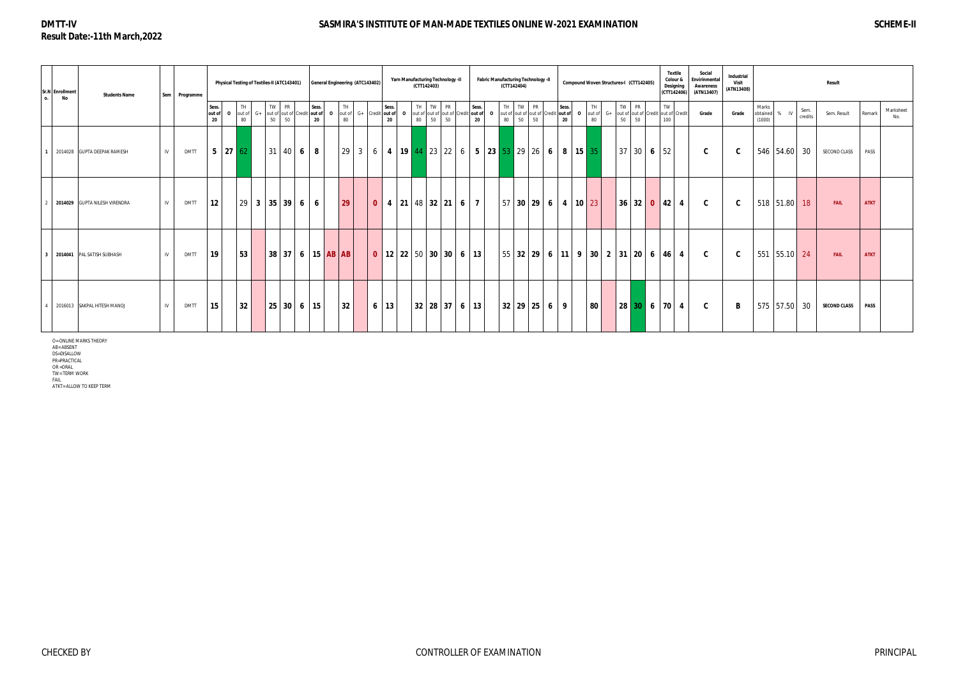# **DMTT-IV Result Date:-11th March,2022**

# **SASMIRA'S INSTITUTE OF MAN-MADE TEXTILES ONLINE W-2021 EXAMINATION SCHEME-II**

| $\Omega$ .              | Sr.N Enrollment<br>No | <b>Students Name</b>          |    | Sem Programme |                       |                     |                    |      | Physical Testing of Textiles-II (ATC143401) |                                         |   |             | General Engineering (ATC143402) |          |                                                                                                       |             |          | Yarn Manufacturing Technology -II<br>(CTT142403) |             |    |                |                |          | <b>Fabric Manufacturing Technology -II</b><br>(CTT142404) |    |    |                |             | Compound Woven Structures-I (CTT142405) |          |            |       |    |              | <b>Textile</b><br>Colour &<br>Designing<br>(CTT142406)    | Social<br>Envirinmental<br><b>Awareness</b><br>(ATN13407) | Industrial<br>Visit<br>(ATN13408) |                 |              |        |                 | <b>Result</b>       |             |                  |
|-------------------------|-----------------------|-------------------------------|----|---------------|-----------------------|---------------------|--------------------|------|---------------------------------------------|-----------------------------------------|---|-------------|---------------------------------|----------|-------------------------------------------------------------------------------------------------------|-------------|----------|--------------------------------------------------|-------------|----|----------------|----------------|----------|-----------------------------------------------------------|----|----|----------------|-------------|-----------------------------------------|----------|------------|-------|----|--------------|-----------------------------------------------------------|-----------------------------------------------------------|-----------------------------------|-----------------|--------------|--------|-----------------|---------------------|-------------|------------------|
|                         |                       |                               |    |               | Sess.<br>out of<br>20 | - 0                 | TH<br>out of<br>80 | $G+$ | TW<br>50                                    | PR<br>out of out of Credit out of<br>50 |   | Sess.<br>20 | $\Omega$                        | TH<br>80 | out of G+ Credit out of                                                                               | Sess.<br>20 | $\Omega$ | TH<br>out of out of out of Credit out of<br>80   | TW PR<br>50 | 50 |                | Sess.<br>20    | $\Omega$ | TH TW PR<br>out of out of out of Credit out of<br>80      | 50 | 50 |                | Sess.<br>20 | out of<br>$\Omega$                      | TH<br>80 | $G+$<br>50 | TW PR | 50 | TW<br>100    | out of out of Credit out of Credit                        | Grade                                                     | Grade                             | Marks<br>(1000) | obtained     | $%$ IV | Sem.<br>credits | Sem. Result         | Remark      | Marksheet<br>No. |
| 1 <sup>1</sup>          |                       | 2014028 GUPTA DEEPAK RAMESH   | IV | <b>DMTT</b>   |                       | $5 \mid 27 \mid 62$ |                    |      |                                             | 31   40   6   8                         |   |             |                                 |          | 29   3   6   <b>4   19   44  </b> 23   22   6   <b>5   23   53  </b> 29   26   <b>6   8   15  </b> 35 |             |          |                                                  |             |    |                |                |          |                                                           |    |    |                |             |                                         |          |            |       |    | $37$ 30 6 52 |                                                           | C.                                                        | C                                 |                 | 546 54.60 30 |        |                 | SECOND CLASS        | PASS        |                  |
|                         |                       | 2014029 GUPTA NILESH VIRENDRA | IV | <b>DMTT</b>   | 12                    |                     | 29                 |      | 3   35   39                                 |                                         | 6 | 6           |                                 | 29       | $\mathbf{0}$                                                                                          |             |          | $4 \mid 21 \mid 48 \mid 32 \mid 21 \mid$         |             |    | 6 <sup>1</sup> | $\overline{7}$ |          | 57 30 29                                                  |    |    | 6 <sup>1</sup> |             | $4 \t10 \t23$                           |          |            |       |    | $36$ 32 0 42 | $\overline{4}$                                            | C.                                                        | C                                 |                 | 518 51.80 18 |        |                 | <b>FAIL</b>         | <b>ATKT</b> |                  |
| $\overline{\mathbf{3}}$ |                       | 2014041 PAL SATISH SUBHASH    | IV | <b>DMTT</b>   | 19                    |                     | 53                 |      |                                             |                                         |   |             | 38   37   6   15   AB   AB      |          |                                                                                                       |             |          | 0   12   22   50   30   30   6   13              |             |    |                |                |          |                                                           |    |    |                |             |                                         |          |            |       |    |              | 55   32   29   6   11   9   30   2   31   20   6   46   4 | C.                                                        | C                                 |                 | 551 55.10 24 |        |                 | <b>FAIL</b>         | <b>ATKT</b> |                  |
|                         |                       | 2016013 SAKPAL HITESH MANOJ   | IV | <b>DMTT</b>   | 15 <sub>15</sub>      |                     | 32                 |      |                                             | 25 30 6 15                              |   |             |                                 | 32       |                                                                                                       | $6 \mid 13$ |          | 32 28 37 6 13                                    |             |    |                |                |          | 32 29 25 6                                                |    |    |                | -9          | 80                                      |          |            | 28 30 |    |              | $6 \mid 70 \mid 4$                                        | C                                                         | B                                 |                 | 575 57.50 30 |        |                 | <b>SECOND CLASS</b> | <b>PASS</b> |                  |

O= ONLINE MARKS THEORY<br>AB= ABSENT<br>DS=DISALLOW<br>PR=PRACTICAL<br>OR =ORAL<br>OR = ORAL<br>TW= TERM WORK<br>FAIL

ATKT= ALLOW TO KEEP TERM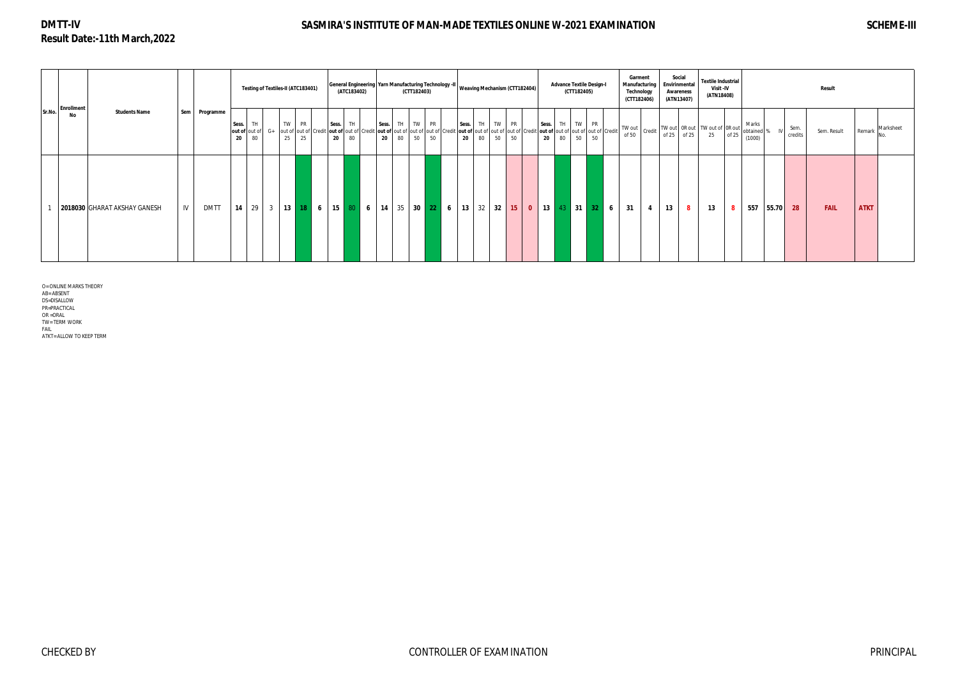# **DMTT-IV Result Date:-11th March,2022**

# **SASMIRA'S INSTITUTE OF MAN-MADE TEXTILES ONLINE W-2021 EXAMINATION SCHEME-III**

|        | <b>Enrollment</b> |                              |     |             |             |                 |          | Testing of Textiles-II (ATC183401)                                                                                                                                              |             | (ATC183402) |    |                | (CTT182403) | General Engineering   Yarn Manufacturing Technology -II   Weaving Mechanism (CTT182404) |       |    |              |    |          |                         |    | (CTT182405)     | <b>Advance Textile Design-I</b>                      | Garment<br>(CTT182406) | Manufacturing<br>Technology |         | Social<br>Envirinmental<br>Awareness<br>(ATN13407) | <b>Textile Industrial</b><br>Visit -IV<br>(ATN18408)                                                     |       |                               |       |                 | Result      |             |           |
|--------|-------------------|------------------------------|-----|-------------|-------------|-----------------|----------|---------------------------------------------------------------------------------------------------------------------------------------------------------------------------------|-------------|-------------|----|----------------|-------------|-----------------------------------------------------------------------------------------|-------|----|--------------|----|----------|-------------------------|----|-----------------|------------------------------------------------------|------------------------|-----------------------------|---------|----------------------------------------------------|----------------------------------------------------------------------------------------------------------|-------|-------------------------------|-------|-----------------|-------------|-------------|-----------|
| Sr.No. | No                | <b>Students Name</b>         | Sem | Programme   | Sess.<br>20 | <b>TH</b><br>80 | TW<br>25 | <b>PR</b><br>out of out of G+ out of out of Credit out of cut of Credit out of Credit out of out of out of credit out of cut of out of out of out of out of out of credit<br>25 | Sess.<br>20 | TH<br>80    | 20 | Sess. TH<br>80 | TW PR<br>50 | 50                                                                                      | Sess. | 20 | TH TW<br>80  | 50 | PR<br>50 | Sess.<br>20             | 80 | $\sim$ 50 $\pm$ | TH TW PR<br>out of out of out of out of Credit<br>50 | TW out<br>of 50        |                             | of $25$ | of 25                                              | <sup>t</sup> $\Big $ Credit $\Big $ TW out $\Big $ OR out $\Big $ TW out of $\Big $ OR out $\Big $<br>25 | of 25 | Marks<br>obtained 9<br>(1000) |       | Sem.<br>credits | Sem. Result | Remark      | Marksheet |
|        |                   | 2018030 GHARAT AKSHAY GANESH | IV  | <b>DMTT</b> |             |                 |          | 14   29   3   13   18   6   15   80   6   14   35   30   22   6                                                                                                                 |             |             |    |                |             |                                                                                         |       |    | 13   32   32 |    | 15       | $\overline{\mathbf{0}}$ |    |                 | 13   43   31   32   6                                | 31                     | $\overline{4}$              | 13      | $\overline{\mathbf{8}}$                            | 13                                                                                                       | 8     | 557                           | 55.70 | 28              | <b>FAIL</b> | <b>ATKT</b> |           |

O= ONLINE MARKS THEORY

AB= ABSENT

DS=DISALLOW

PR=PRACTICAL OR =ORAL

TW= TERM WORK

FAIL ATKT= ALLOW TO KEEP TERM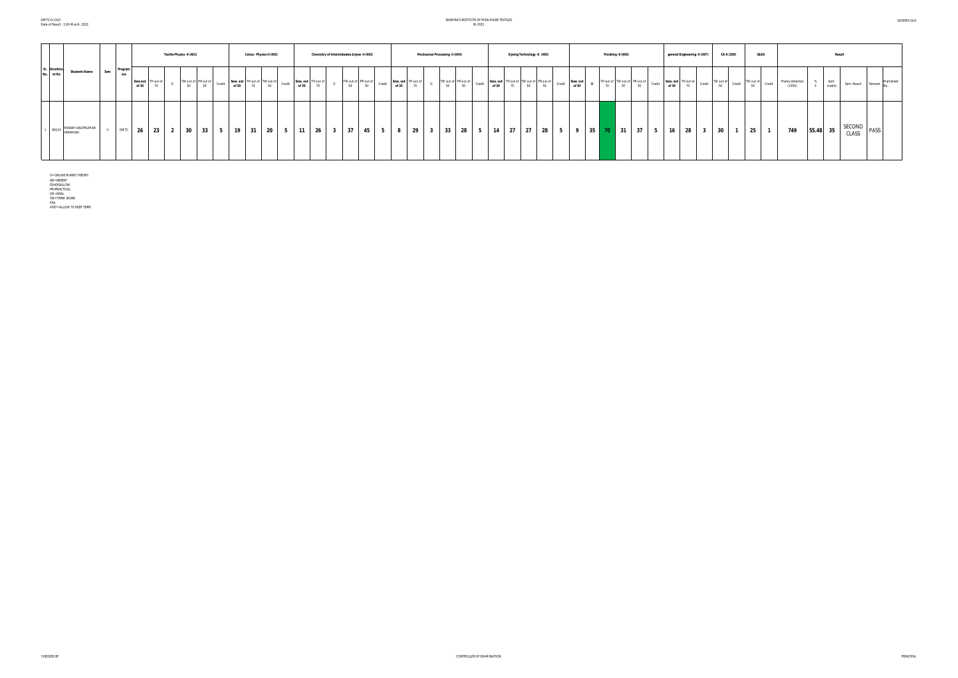### SASMIRA'S INSTITUTE OF MAN-MADE TEXTILES W-2021

|                           |                        |     |               |                   |                  | Textile Physics -II (401) |                                 |        |       |    | Colour Physics-II (402)             |        |                                 |                         |    | Chemistry of Intermideates & dyes -II (403) |        |                              |    | Mechanical Processing -II (404) |    |        |       | Dyeing Technology -II (405)                         |    |                |                    |         | Finishing -II (406) |                                                                                                    | general Engineering -II (407) | CA-II (209)                                                                                                                                                                                                                                                                                                                                                                                                                                                  | S&EA      |        |                          |          | <b>Result</b>   |                    |             |  |
|---------------------------|------------------------|-----|---------------|-------------------|------------------|---------------------------|---------------------------------|--------|-------|----|-------------------------------------|--------|---------------------------------|-------------------------|----|---------------------------------------------|--------|------------------------------|----|---------------------------------|----|--------|-------|-----------------------------------------------------|----|----------------|--------------------|---------|---------------------|----------------------------------------------------------------------------------------------------|-------------------------------|--------------------------------------------------------------------------------------------------------------------------------------------------------------------------------------------------------------------------------------------------------------------------------------------------------------------------------------------------------------------------------------------------------------------------------------------------------------|-----------|--------|--------------------------|----------|-----------------|--------------------|-------------|--|
| Sr. Enrollme<br>No. nt No | <b>Students Name</b>   | Sem | Program<br>me | Sess.out<br>of 30 | TH out of<br>7 U |                           | TW out of PR out of<br>50<br>50 | Credit | of 30 | 70 | Sess. out TH out of TW out of<br>50 | Credit | Sess. out<br>TH out of<br>of 30 |                         | 50 | TW out of PR out of                         | Credit | Sess. out TH out of<br>of 30 | 70 | TW out of PR out of<br>50       | 50 | Credit | of 30 | Sess. out TH out of TW out of PR out of<br>70<br>50 | 50 | Credit         | Sess. out<br>of 30 |         |                     | TH out of TW out of PR out of Credit Sess. out TH out of Credit<br>70 50 50 Credit of 30 70 Credit |                               | $\begin{array}{c c c c} & \text{TW out of} & \text{Credit} & \text{I} & \text{I} & \text{I} & \text{I} & \text{I} & \text{I} & \text{I} & \text{II} & \text{II} & \text{II} & \text{II} & \text{II} & \text{II} & \text{II} & \text{II} & \text{II} & \text{II} & \text{II} & \text{II} & \text{II} & \text{II} & \text{II} & \text{II} & \text{II} & \text{II} & \text{II} & \text{II} & \text{II} & \text{II} & \text{II} & \text{II} & \text{II} &$<br>50 | TW out of | Credit | Marks obtained<br>(1350) |          | Sem.<br>credits | Sem. Result Remark |             |  |
|                           | 99124 PANDEY ANUPKUMAR |     | DMTC          | 26                | 23               | $\overline{2}$            | 30 <sub>2</sub><br>33           | 5      | 19    | 31 | - 20                                | כי     | 26<br>11                        | $\overline{\mathbf{3}}$ | 37 | 45                                          | ಾ      |                              | 29 | 33<br>$\overline{\mathbf{3}}$   | 28 | 5      | 14    | 27<br>27                                            | 28 | 5 <sub>1</sub> | - 9                | $35$ 70 |                     | $\blacksquare$ 31<br>37<br>5                                                                       | 28<br>16<br>- 3               | 30                                                                                                                                                                                                                                                                                                                                                                                                                                                           | 25        |        | 749                      | 55.48 35 |                 |                    | SECOND PASS |  |

O= ONLINE MARKS THEORY<br>AB= ABSENT<br>DS=DISALLOW<br>PR=PRACTICAL<br>OR =ORAL<br>TW= TERM WORK<br>4TKT= ALLOW TO KEEP TERM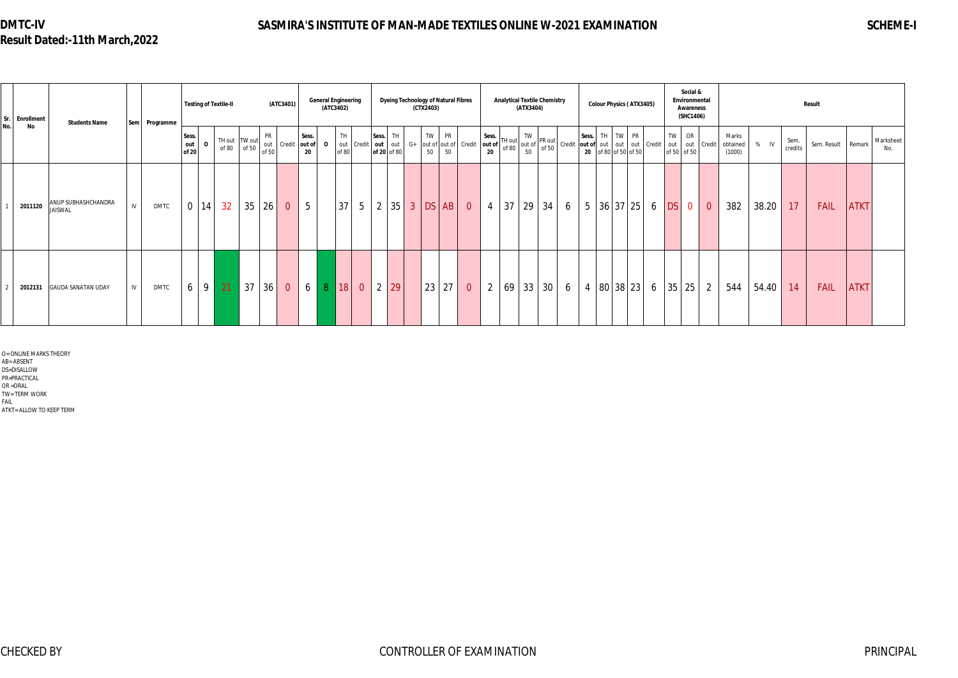# **DMTC-IV Result Dated:-11th March,2022**

# **SASMIRA'S INSTITUTE OF MAN-MADE TEXTILES ONLINE W-2021 EXAMINATION SCHEME-I**

O= ONLINE MARKS THEORY AB= ABSENT

DS=DISALLOW

PR=PRACTICAL

OR =ORAL

TW= TERM WORK FAIL

ATKT= ALLOW TO KEEP TERM

| Sr. Enrollment | <b>Students Name</b>                  |    | Sem Programme |                       |                | <b>Testing of Textile-II</b> |       |                           | (ATC3401)      |                       | <b>General Engineering</b><br>(ATC3402) |                            |                |                                 |            | (CTX2403) |          | <b>Dyeing Technology of Natural Fibres</b> |                                                                                     |    | <b>Analytical Textile Chemistry</b><br>(ATX3404)                                                                                                                                                                                                                                                                             |                 |   |             |  | <b>Colour Physics (ATX3405)</b>                            |   |    | Social &<br>Environmental<br><b>Awareness</b><br>(SHC1406) |                |                             |       |                 | Result      |             |                  |
|----------------|---------------------------------------|----|---------------|-----------------------|----------------|------------------------------|-------|---------------------------|----------------|-----------------------|-----------------------------------------|----------------------------|----------------|---------------------------------|------------|-----------|----------|--------------------------------------------|-------------------------------------------------------------------------------------|----|------------------------------------------------------------------------------------------------------------------------------------------------------------------------------------------------------------------------------------------------------------------------------------------------------------------------------|-----------------|---|-------------|--|------------------------------------------------------------|---|----|------------------------------------------------------------|----------------|-----------------------------|-------|-----------------|-------------|-------------|------------------|
| No<br>No.      |                                       |    |               | Sess.<br>out<br>of 20 | $\mathbf{o}$   | TH out TW out<br>of 80       | of 50 | <b>PR</b><br>out<br>of 50 | Credit         | Sess.<br>out of<br>20 | $\mathbf{o}$                            | TH.<br>out Credit<br>of 80 |                | Sess.<br>out out<br>of 20 of 80 | TH<br>$G+$ |           | TW<br>50 | <b>PR</b><br>out of out of Credit<br>50    | Sess.<br>out of $\begin{bmatrix} 1H \text{ out} \\ 0H \text{ of } 80 \end{bmatrix}$ |    | If $\begin{bmatrix} TW\\ out\ of\\ 50\end{bmatrix}$ PR out $\begin{bmatrix} 25 & 10 & 10 \\ 10 & 50 & 10 \\ 10 & 10 & 10 \\ 10 & 10 & 10 \\ 10 & 10 & 10 \\ 10 & 10 & 10 \\ 10 & 10 & 10 \\ 10 & 10 & 10 \\ 10 & 10 & 10 \\ 10 & 10 & 10 \\ 10 & 10 & 10 \\ 10 & 10 & 10 \\ 10 & 10 & 10 \\ 10 & 10 & 10 \\ 10 & 10 & 10 \\$ |                 |   | Sess.<br>20 |  | TH TW PR<br>out of out out out Credit<br>of 80 of 50 of 50 |   | TW | OR<br>of 50 of 50                                          | out out Credit | Marks<br>obtained<br>(1000) | % IV  | Sem.<br>credits | Sem. Result | Remark      | Marksheet<br>No. |
| 2011120        | ANUP SUBHASHCHANDRA<br><b>JAISWAL</b> | IV | <b>DMTC</b>   | $\overline{0}$        | 14             | 32                           | 35    | 26 <sup>°</sup>           | $\overline{0}$ | $5\overline{)}$       |                                         | 37 <sup>1</sup>            | 5 <sup>1</sup> | $\overline{2}$                  |            |           |          | $ 35 $ 3 DS AB 0                           | $4 \mid 37 \mid$                                                                    |    | 29 <sup>1</sup>                                                                                                                                                                                                                                                                                                              | 34              | 6 |             |  | 5 36 37 25 6 DS                                            |   |    | $\overline{0}$                                             | $\overline{0}$ | 382                         | 38.20 | 17              | <b>FAIL</b> | <b>ATKT</b> |                  |
| 2012131        | <b>GAUDA SANATAN UDAY</b>             | IV | <b>DMTC</b>   | 6                     | 9 <sup>1</sup> | 21                           | 37    | 36                        | $\overline{0}$ | 6                     | 8 <sup>°</sup>                          | 18                         | $\overline{0}$ | 2 <sup>1</sup>                  | 29         |           | 23       | $27 \mid$<br>$\overline{0}$                | $\overline{2}$                                                                      | 69 | 33                                                                                                                                                                                                                                                                                                                           | 30 <sup>1</sup> | 6 |             |  | 4   80   38   23                                           | 6 |    | 35 25                                                      | 2              | 544                         | 54.40 | 14              | <b>FAIL</b> | <b>ATKT</b> |                  |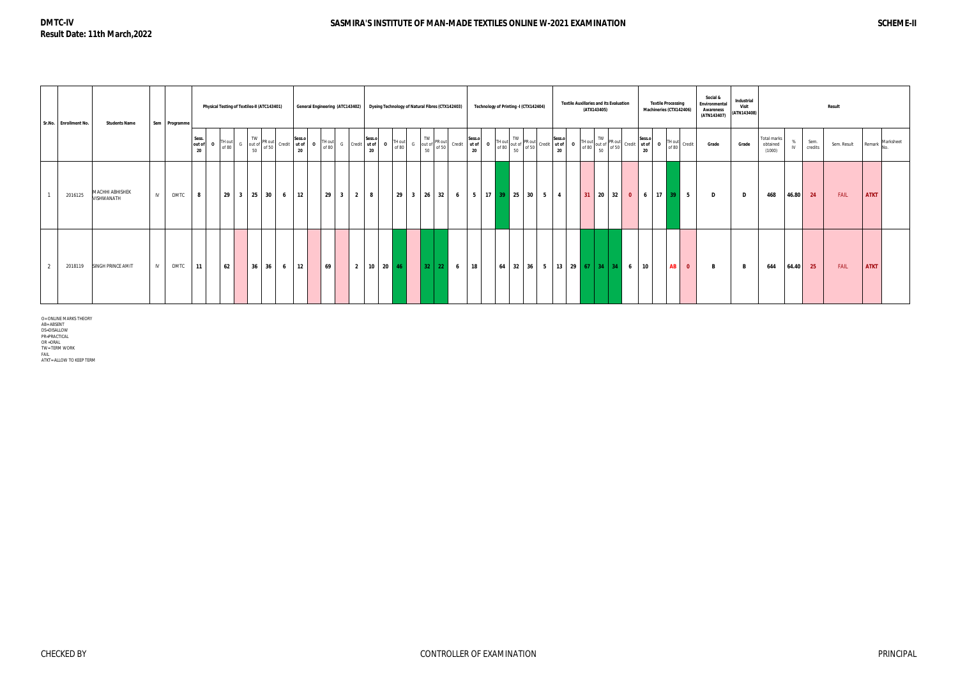| Sr.No. Enrollment No. | <b>Students Name</b>          |     | Sem Programme |                       |                 | Physical Testing of Textiles-II (ATC143401) |                                                                                                |   |                              |              |                 | General Engineering (ATC143402)           |                  |              |                 | Dyeing Technology of Natural Fibres (CTX142403) |                                                               |                 |                              |              |  | Technology of Printing -I (CTX142404)                                                                                                                                                                                                                                                                                                                                                                                                                                                     | <b>Textile Auxillaries and its Evaluation</b> | (ATX143405)  |  |       |                               | <b>Textile Processing</b><br>Machineries (CTX142406) | Social &<br>Environmental<br>Awareness<br>(ATN143407) | Industrial<br>Visit<br>(ATN143408) |                                   |     |                 | <b>Result</b> |             |           |
|-----------------------|-------------------------------|-----|---------------|-----------------------|-----------------|---------------------------------------------|------------------------------------------------------------------------------------------------|---|------------------------------|--------------|-----------------|-------------------------------------------|------------------|--------------|-----------------|-------------------------------------------------|---------------------------------------------------------------|-----------------|------------------------------|--------------|--|-------------------------------------------------------------------------------------------------------------------------------------------------------------------------------------------------------------------------------------------------------------------------------------------------------------------------------------------------------------------------------------------------------------------------------------------------------------------------------------------|-----------------------------------------------|--------------|--|-------|-------------------------------|------------------------------------------------------|-------------------------------------------------------|------------------------------------|-----------------------------------|-----|-----------------|---------------|-------------|-----------|
|                       |                               |     |               | Sess.<br>out of<br>20 | FH out<br>of 80 |                                             | TW<br>$\begin{bmatrix} 1 \text{W} \\ \text{out of} \\ \text{of 50} \end{bmatrix}$ PR out<br>50 |   | Sess.o<br>Credit ut of<br>20 | $\mathbf{0}$ | TH out<br>of 80 | G Credit Sess.or<br>Credit dt of 20       |                  | $\mathbf{o}$ | TH out<br>of 80 | $\mathsf{G}$                                    | $\begin{bmatrix} TW\\ \text{out of}\\ 50\end{bmatrix}$ PR out |                 | Sess.o<br>Credit ut of<br>20 | $\mathbf{o}$ |  | $\begin{bmatrix} \text{TH} \text{ out} \\ \text{of 80} \\ \text{of 80} \end{bmatrix} \begin{bmatrix} \text{TV} \\ \text{out of} \\ \text{of 90} \\ \text{of 90} \end{bmatrix} \begin{bmatrix} \text{Permit} \\ \text{Credit} \\ \text{of 80} \end{bmatrix} \begin{bmatrix} \text{Seess.0} \\ \text{of 80} \\ \text{of 90} \end{bmatrix} \begin{bmatrix} \text{TV} \\ \text{out of} \\ \text{of 80} \\ \text{of 90} \end{bmatrix} \begin{bmatrix} \text{TV} \\ \text{Put of} \\ \text{of $ |                                               |              |  |       | $\cdot$   0   TH out   $\sim$ | Credit<br>of 80                                      | Grade                                                 | Grade                              | Total marks<br>obtained<br>(1000) | IV. | Sem.<br>credits | Sem. Result   | Remark      | Marksheet |
| 2016125               | MACHHI ABHISHEK<br>VISHWANATH | IV. | <b>DMTC</b>   | 8                     | 29              | $3 \mid 25 \mid 30$                         |                                                                                                | 6 | $ 12\rangle$                 |              | 29              | $\overline{\mathbf{3}}$<br>$\overline{2}$ | 8                |              |                 | 29 3 26 32                                      |                                                               | $6\overline{6}$ |                              |              |  | 5   17 <mark>  39  </mark> 25   30   5   4                                                                                                                                                                                                                                                                                                                                                                                                                                                |                                               | $31$ 20 32 0 |  | $6-1$ |                               | $17$ 39 5                                            | D                                                     | D                                  | 468                               |     | 46.80 24        | FAIL          | <b>ATKT</b> |           |
| 2018119               | <b>SINGH PRINCE AMIT</b>      | IV  | <b>DMTC</b>   | 11                    | 62              |                                             | $36 \mid 36 \mid$                                                                              | 6 | 12                           |              | 69              |                                           | 2   10   20   46 |              |                 |                                                 | $32$ 22 6 18                                                  |                 |                              |              |  | $64$ 32 36 5 13 29 67 34 34 6                                                                                                                                                                                                                                                                                                                                                                                                                                                             |                                               |              |  | 10    |                               | $\overline{\mathbf{0}}$<br>AB <sub>I</sub>           | B                                                     | B                                  | 644                               |     | 64.40 25        | <b>FAIL</b>   | <b>ATKT</b> |           |

O= ONLINE MARKS THEORY<br>AB= ABSENT<br>DS=DISALLOW<br>PR=PRACTICAL<br>PR=PRACTICAL<br>OR = TERM WORK<br>TIKT= ALLOW TO KEEP TERM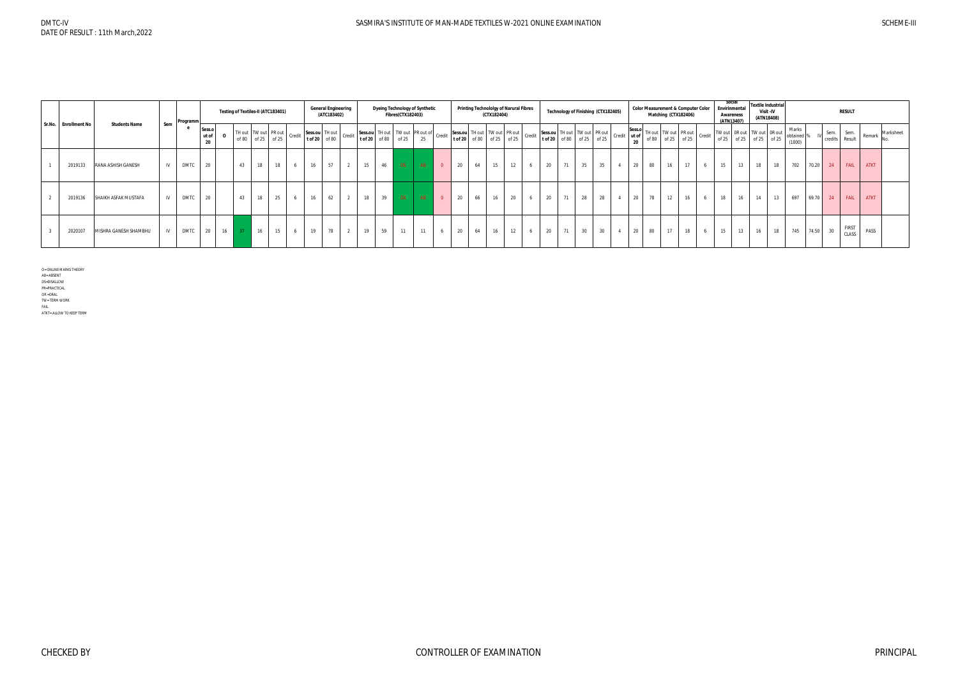|                      |                       |     | Programm    |                       | Testing of Textiles-II (ATC183401)                                |                   |    |   |    | <b>General Engineering</b><br>(ATC183402) |    |    | <b>Dyeing Technology of Synthetic</b><br><b>Fibres(CTX182403)</b> |      |    |                |    |    | (CTX182404) | <b>Printing Technololgy of Narural Fibres</b> |                                                                                                                                                        |    |                 | Technology of Finishing (CTX182405) |    |                                                                                                                                                                                                                                    |    | <b>Color Measurement &amp; Computer Color</b><br>Matching (CTX182406) |   | Social<br>Envirinmental<br>Awareness<br>(ATN13407)                                     |    | Visit - IV<br>(ATN18408) | <b>Textile Industrial</b> |                               |       |      | <b>RESULT</b>          |             |           |
|----------------------|-----------------------|-----|-------------|-----------------------|-------------------------------------------------------------------|-------------------|----|---|----|-------------------------------------------|----|----|-------------------------------------------------------------------|------|----|----------------|----|----|-------------|-----------------------------------------------|--------------------------------------------------------------------------------------------------------------------------------------------------------|----|-----------------|-------------------------------------|----|------------------------------------------------------------------------------------------------------------------------------------------------------------------------------------------------------------------------------------|----|-----------------------------------------------------------------------|---|----------------------------------------------------------------------------------------|----|--------------------------|---------------------------|-------------------------------|-------|------|------------------------|-------------|-----------|
| Sr.No. Enrollment No | <b>Students Name</b>  | Sem |             | Sess.o<br>ut of<br>20 | $\mid$ TH out $\mid$ TW out $\mid$ PR out $\mid$ Credit $\mid$ Se | of 80 of 25 of 25 |    |   |    | Sess.ou TH out<br>t of 20 of 80 Credit    |    |    | Sess.ou TH out TW out PR out of Credit tof 20 of 80 of 25 25 25   |      |    |                |    |    |             |                                               | Sess.ou TH out PR out PR out CH of 25 Sess.ou TH out TW out PR out chat TW out TH out CH of 20 of 25 of 25 to f 25 to f 25 to f 25 of 25 to f 25 cedit |    |                 |                                     |    | $\begin{array}{ c c c c c c } \hline \rule{0pt}{1ex} & \rule{0pt}{20} \hline \rule{0pt}{20} & \rule{0pt}{20} \end{array}$ of 80 $\begin{array}{ c c c c c c } \hline \rule{0pt}{20} & \rule{0pt}{20} & \rule{0pt}{20} \end{array}$ |    | Sess.o TH out TW out PR out<br>of 80 of 25 of 25                      |   | <sup>+</sup>   Credit   TW out   OR out   TW out   OR out  <br>of 25 of 25 of 25 of 25 |    |                          |                           | Marks<br>obtained %<br>(1000) |       | Sem. | Sem.<br>credits Result | Remar       | Marksheet |
| 2019133              | RANA ASHISH GANESH    | IV  | <b>DMTC</b> | 20                    | 43                                                                | 18                | 18 | 6 | 16 | 57                                        | 15 |    | 46                                                                | DS   | AB | $\overline{0}$ | 20 | 64 | 15          | 12                                            | 20                                                                                                                                                     | 71 | 35              | 35                                  | 20 | 80                                                                                                                                                                                                                                 | 16 | 17                                                                    | 6 | 15                                                                                     | 13 | 18                       | 18                        | 702                           | 70.20 | 24   | <b>FAIL</b>            | <b>ATKT</b> |           |
| 2019136              | SHAIKH ASFAK MUSTAFA  | IV  | <b>DMTC</b> | 20                    | 43                                                                | 18                | 25 | 6 | 16 | 62                                        | 18 | 39 |                                                                   | DS - | AB | $\overline{0}$ | 20 | 66 | 16          | 20                                            | 20                                                                                                                                                     | 71 | 28              | 28                                  | 20 | 78                                                                                                                                                                                                                                 | 12 | 16                                                                    | 6 | 18                                                                                     | 16 | 14                       | 13                        | 697                           | 69.70 | 24   | FAIL                   | <b>ATKT</b> |           |
| 2020107              | MISHRA GANESH SHAMBHU | IV  | <b>DMTC</b> | 20                    | 16                                                                | 16                | 15 | 6 | 19 | 78<br>$\begin{array}{cc} 2 \end{array}$   | 19 |    | 59                                                                | 11   | 11 | 6              | 20 | 64 | 16          | 12                                            | 20                                                                                                                                                     | 71 | 30 <sup>2</sup> | 30 <sup>2</sup>                     |    | 20 80                                                                                                                                                                                                                              | 17 | 18                                                                    | 6 | 15                                                                                     | 13 | 16                       | 18                        | 745                           | 74.50 | 30   | <b>FIRST</b><br>CLASS  | PASS        |           |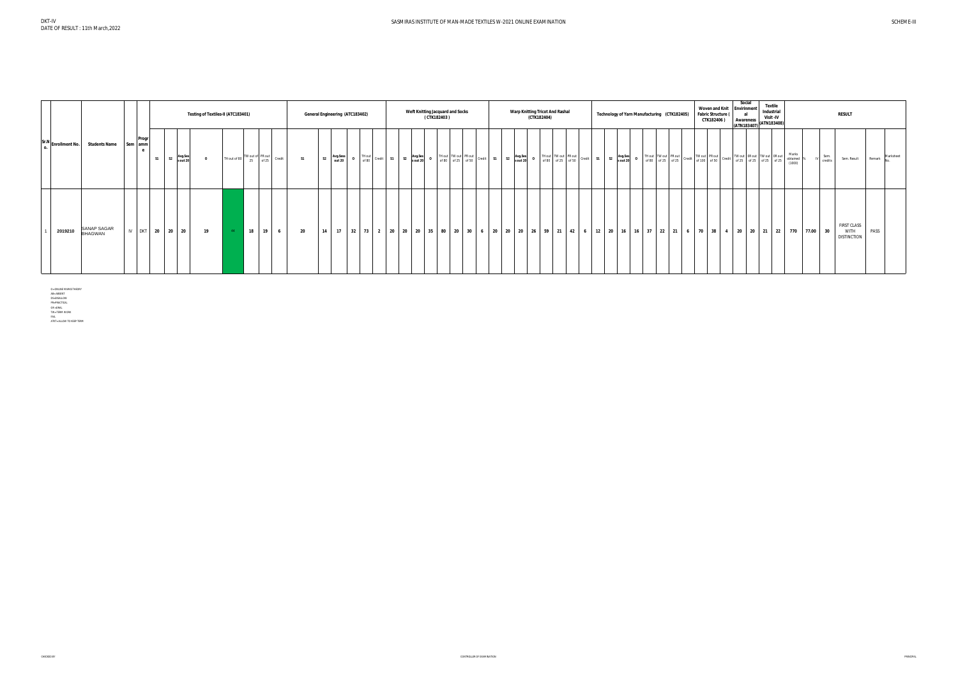|         |                                   |                        |                      |                     | Testing of Textiles-II (ATC183401) |                                                           |     |           |                |                    | General Engineering (ATC183402) |  | Weft Knitting Jacquard and Socks<br>(CTK182403) |  | Warp Knitting Tricot And Rashal                                                     | (CTK182404)    |  |                                          |              | Technology of Yarn Manufacturing (CTK182405) | <b>Fabric Structure (</b> | <b>Woven and Knit</b><br>CTK182406) | Social<br>Envirinment<br>Awareness<br>(ATN183407)                                                                    | <b>Textile</b><br>Industrial<br>Visit - IV<br>(ATN183408) |                               |                 | <b>RESULT</b>                                           |      |                  |
|---------|-----------------------------------|------------------------|----------------------|---------------------|------------------------------------|-----------------------------------------------------------|-----|-----------|----------------|--------------------|---------------------------------|--|-------------------------------------------------|--|-------------------------------------------------------------------------------------|----------------|--|------------------------------------------|--------------|----------------------------------------------|---------------------------|-------------------------------------|----------------------------------------------------------------------------------------------------------------------|-----------------------------------------------------------|-------------------------------|-----------------|---------------------------------------------------------|------|------------------|
|         | Sr.N Enrollment No. Students Name | Progr<br>Sem amm       | S1<br>S <sub>2</sub> | Avg.Ses<br>s out 20 | $\mathbf{0}$                       | TH out of 80 $\begin{array}{ l }$ TW out of PR out credit |     | <b>S1</b> | S <sub>2</sub> | Avg.Sess<br>out 20 |                                 |  |                                                 |  | TH out TW out PR out credit 51 S2 Avg.Ses<br>of 80 of 25 of 50 Credit 51 S2 sout 20 | $\overline{0}$ |  | THout TW out PR out credit 51 S2 Avg.Ses | $\mathbf{O}$ |                                              |                           |                                     | THout TW out PR out Credit TW out OR out TW out OR out TW out OR out TW out OR out TW out OR out TW out OR OUT OF 50 |                                                           | Marks<br>obtained<br>$(1000)$ | Sem.<br>credits | Sem. Result                                             |      | Remark Marksheet |
| 2019210 | SANAP SAGAR<br><b>BHAGWAN</b>     | IV <sub>1</sub><br>DKT | 20<br>20             | 20                  | 19                                 | 18<br>19                                                  | - 6 | 20        | 14             | 17                 |                                 |  |                                                 |  | $32$   73   2   20   20   20   35   80   20   30   6   20   20   20                 |                |  |                                          |              | 26 59 21 42 6 12 20 16 16 37 22 21 6         | 70 38                     |                                     | 4   20   20   21   22   770   77.00   30                                                                             |                                                           |                               |                 | <b>FIRST CLASS</b><br><b>WITH</b><br><b>DISTINCTION</b> | PASS |                  |

O= ONLINE MARKS THEORY<br>AB= ABSENT<br>DS=DISALLOW<br>PR=PRACTICAL<br>OR =ORAL<br>OR =ORAL<br>TW= TERM WORK<br>FAIL<br>ATKT= ALLOW TO KEEP TERM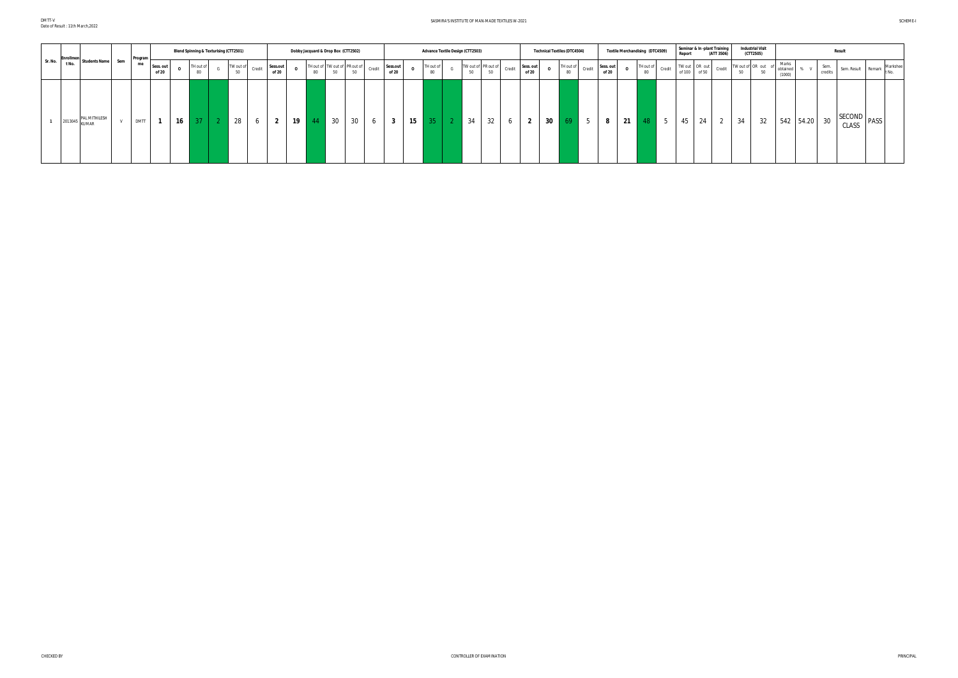DMTT-V Date of Result : 11th March,2022

#### SASMIRA'S INSTITUTE OF MAN-MADE TEXTILES W-2021 SCHEME-I

|         | Enrollme |                                       |     | Program     |                    |             |                | <b>Blend Spinning &amp; Texturising (CTT2501)</b> |        |                   |              |    | Dobby Jacquard & Drop Box (CTT2502)        |             |                   |              | <b>Advance Textile Design (CTT2503)</b> |    |                           |        |                                | <b>Technical Textiles (DTC4504)</b>                                                               |            |                    | Textile Merchandising (DTC4509) |                 |   | Report | Seminar & In -plant Training<br>(ATT 3506)                                                                                                                                          |                      | (CTT2505) | <b>Industrial Visit</b> |                             |           | <b>Result</b>         |      |                                                             |
|---------|----------|---------------------------------------|-----|-------------|--------------------|-------------|----------------|---------------------------------------------------|--------|-------------------|--------------|----|--------------------------------------------|-------------|-------------------|--------------|-----------------------------------------|----|---------------------------|--------|--------------------------------|---------------------------------------------------------------------------------------------------|------------|--------------------|---------------------------------|-----------------|---|--------|-------------------------------------------------------------------------------------------------------------------------------------------------------------------------------------|----------------------|-----------|-------------------------|-----------------------------|-----------|-----------------------|------|-------------------------------------------------------------|
| Sr. No. | t No.    | <b>Students Name</b>                  | Sem | me          | Sess. out<br>of 20 | $\mathbf 0$ | TH out o<br>80 | TW out of<br>50                                   | Credit | Sess.out<br>of 20 | $\mathbf{o}$ | 80 | TH out of TW out of PR out of<br><b>EO</b> | Credi<br>50 | Sess.out<br>of 20 | $\mathbf{o}$ | TH out of<br>80                         | 50 | TW out of PR out of<br>50 | Credit | Sess. out<br>$\Omega$<br>of 20 | $\overline{\phantom{a}}$ TH out of $\overline{\phantom{a}}$ Credit $\overline{\phantom{a}}$<br>80 |            | Sess. out<br>of 20 |                                 | TH out of<br>80 |   |        | Credit   TW out   OR out   Credit   TW out of OR out of $\begin{bmatrix} 1 \\ 0 \end{bmatrix}$ of $\begin{bmatrix} 50 \\ 0 \end{bmatrix}$ of $\begin{bmatrix} 1 \\ 0 \end{bmatrix}$ |                      |           |                         | Marks<br>obtained<br>(1000) | % V       | Sem.<br>credits       |      | Markshee<br>$\therefore$ Sem. Result Remark $\frac{1}{100}$ |
|         |          | PAL MITHILESH<br>$\sim$ 2013045 KUMAR |     | <b>DMTT</b> |                    | 16          | $37 \mid$      | 28                                                | 6      | $\epsilon$        | 19           | 44 | 30                                         | 30<br>O     | $\mathbf{3}$      | 15           | 35 <sup>2</sup>                         | 34 | 32                        | O      | $\overline{2}$                 | 30<br>69                                                                                          | $\sqrt{5}$ | 8                  | 21                              | 48              | 5 | 45     | 24                                                                                                                                                                                  | 34<br>$\overline{2}$ |           | 32                      |                             | 542 54.20 | SECOND<br>30<br>CLASS | PASS |                                                             |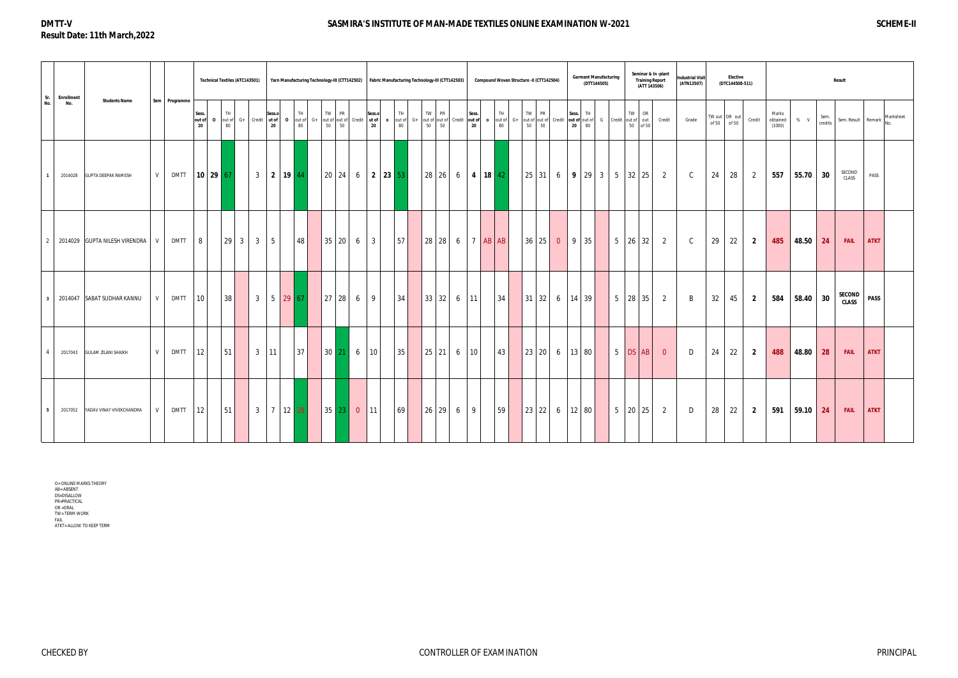# **DMTT-V Result Date: 11th March,2022**

## **SASMIRA'S INSTITUTE OF MAN-MADE TEXTILES ONLINE EXAMINATION W-2021 SCHEME-II**

O= ONLINE MARKS THEORY<br>AB= ABSENT<br>DS=DISALLOW<br>PR=PRACTICAL<br>OR =ORAL<br>OR = ORAL<br>TW= TERM WORK<br>FAIL ATKT= ALLOW TO KEEP TERM

| Sr.            | <b>Enrollment</b> |                               |   |               |                       | <b>Technical Textiles (ATC143501)</b> |                      |                |              |                                 |                      |            |                                                    |                 |                 |                        | Yarn Manufacturing Technology-III (CTT142502) Fabric Manufacturing Technology-III (CTT142503) |                  |                       | Compound Woven Structure -II (CTT142504) |                 |                          | (DTT144505) | <b>Garment Manufacturing</b> | Seminar & In -plant<br><b>Training Report</b><br>(ATT 143506)                         |                | <b>Industrial Visit</b><br>(ATN13507) |       | <b>Elective</b><br>(DTC144508-511) |                |                             |            | <b>Result</b>   |                        |             |                              |
|----------------|-------------------|-------------------------------|---|---------------|-----------------------|---------------------------------------|----------------------|----------------|--------------|---------------------------------|----------------------|------------|----------------------------------------------------|-----------------|-----------------|------------------------|-----------------------------------------------------------------------------------------------|------------------|-----------------------|------------------------------------------|-----------------|--------------------------|-------------|------------------------------|---------------------------------------------------------------------------------------|----------------|---------------------------------------|-------|------------------------------------|----------------|-----------------------------|------------|-----------------|------------------------|-------------|------------------------------|
| No.            | No.               | <b>Students Name</b>          |   | Sem Programme | Sess.<br>out of<br>20 | O out of G+ Credit ut of              | TH <sub></sub><br>80 |                | Sess.o<br>20 |                                 | TH <sub></sub><br>80 | TW  <br>50 | PR<br>0 out of G+ out of out of Credit ut of<br>50 | Sess.o<br>20    | <b>TH</b><br>80 | $\bullet$ out of $G^+$ | TW PR<br>out of out of Credit out of<br>50 50                                                 | Sess.<br>20      | TH.<br>o out of<br>80 | TW I<br>50                               | <b>PR</b><br>50 | Sess. TH<br>20 80        |             |                              | TW OR<br>G+ out of out of Credit out of out of G Credit out of out Credit<br>50 of 50 |                | Grade                                 | of 50 | TW out OR out<br>of 50             | Credit         | Marks<br>obtained<br>(1000) | $%$ V      | Sem.<br>credits |                        |             | Sem. Result Remark Marksheet |
|                | 2014028           | <b>GUPTA DEEPAK RAMESH</b>    | V | <b>DMTT</b>   |                       | $10 \mid 29 \mid 67$                  |                      | 3 <sup>1</sup> |              | 2 19 44                         |                      |            |                                                    |                 |                 |                        | 28 26 6 4 18 42                                                                               |                  |                       |                                          |                 |                          |             |                              | $\vert 25 \vert 31 \vert 6 \vert 9 \vert 29 \vert 3 \vert 5 \vert 32 \vert 25 \vert$  | 2              | $\mathsf{C}$                          | 24    | 28                                 | $\overline{2}$ | 557                         | $55.70$ 30 |                 | SECOND<br>CLASS        | PASS        |                              |
| 2              |                   | 2014029 GUPTA NILESH VIRENDRA | V | <b>DMTT</b>   | 8 <sup>1</sup>        |                                       |                      |                | 5            |                                 | 48                   | 35 20      |                                                    | $6 \mid 3$      | 57              |                        | 28 28 6 7 AB AB                                                                               |                  |                       |                                          | $36 \ 25 \ 0$   | $\vert 9 \vert 35 \vert$ |             |                              | 5   26   32                                                                           | 2              | $\mathsf{C}$                          | 29    | 22                                 | $\overline{2}$ | 485                         | 48.50 24   |                 | <b>FAIL</b>            | <b>ATKT</b> |                              |
|                |                   | 3 2014047 SABAT SUDHAR KANNU  | V | <b>DMTT</b>   | 10                    |                                       | 38                   |                |              | $3 \t 5 \t 29 \t 67$            |                      | $27$ 28    |                                                    | 9<br>6          | 34              |                        | 33 32 6 11                                                                                    |                  | 34                    | $ 31 32 $ 6   14   39                    |                 |                          |             |                              | $5 \mid 28 \mid 35 \mid$                                                              | 2              | B                                     | 32    | 45                                 | $\overline{2}$ | 584                         | $58.40$ 30 |                 | SECOND<br><b>CLASS</b> | <b>PASS</b> |                              |
| $\overline{a}$ | 2017043           | <b>GULAM ZILANI SHAIKH</b>    | V | <b>DMTT</b>   | 12 <sup>1</sup>       | 51                                    |                      |                | $3 \mid 11$  |                                 | 37                   |            | $30 \ 21 \ 6$                                      | 10 <sup>1</sup> | 35              |                        | $25$   21                                                                                     | $6 \mid 10 \mid$ | 43                    | $ 23 20 $ 6   13   80                    |                 |                          |             |                              | 5 DS AB                                                                               | $\overline{0}$ | D                                     | 24    | 22                                 | $\overline{2}$ | 488                         | 48.80      | 28              | <b>FAIL</b>            | <b>ATKT</b> |                              |
| 5              | 2017052           | YADAV VINAY VIVEKCHANDRA      | V | $DMTT$ 12     |                       |                                       | 51                   |                |              | $3 \mid 7 \mid 12 \mid 28 \mid$ |                      | $35$ 23    |                                                    | $0$ 11          | 69              |                        | $26 \mid 29 \mid 6 \mid 9$                                                                    |                  | 59                    | 23 22 6 12 80                            |                 |                          |             |                              | $5 \mid 20 \mid 25 \mid$                                                              | 2              | D                                     | 28    | 22                                 | $\overline{2}$ | 591                         | $59.10$ 24 |                 | <b>FAIL</b>            | <b>ATKT</b> |                              |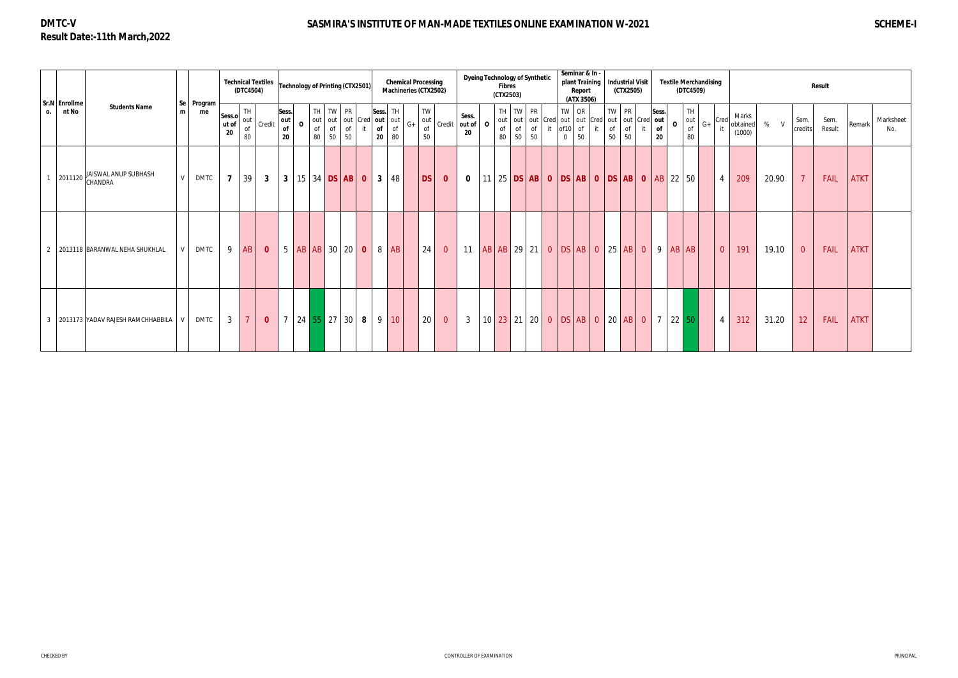# **DMTC-V Result Date:-11th March,2022**

# SASMIRA'S INSTITUTE OF MAN-MADE TEXTILES ONLINE EXAMINATION W-2021 **SCHEME-I** SCHEME-I

|    | Sr.N Enrollme |                                                                  |   |                  |                       | (DTC4504)              | <b>Technical Textiles</b> |                          | <b>Technology of Printing (CTX2501)</b> |                                          |                      |              |                                     |          | <b>Chemical Processing</b><br>Machineries (CTX2502) |                    |                         | <b>Dyeing Technology of Synthetic</b> | <b>Fibres</b> | (CTX2503)                       |          |          |                      | Seminar & In -<br>plant Training<br>Report<br>(ATX 3506) | Industrial Visit<br>(CTX2505)                                                                         |                |                   |              | <b>Textile Merchandising</b><br>(DTC4509) |      |                |                             |       |                 | Result         |             |                  |
|----|---------------|------------------------------------------------------------------|---|------------------|-----------------------|------------------------|---------------------------|--------------------------|-----------------------------------------|------------------------------------------|----------------------|--------------|-------------------------------------|----------|-----------------------------------------------------|--------------------|-------------------------|---------------------------------------|---------------|---------------------------------|----------|----------|----------------------|----------------------------------------------------------|-------------------------------------------------------------------------------------------------------|----------------|-------------------|--------------|-------------------------------------------|------|----------------|-----------------------------|-------|-----------------|----------------|-------------|------------------|
| 0. | nt No         | <b>Students Name</b>                                             | m | Se Program<br>me | Sess.o<br>ut of<br>20 | TH<br>out<br>o f<br>80 | Credit                    | Sess.<br>out<br>of<br>20 | $\mathbf 0$<br>of<br>80                 | TH TW PR<br>out out out Cred<br>of<br>50 | o <sub>f</sub><br>50 |              | Sess. TH<br>out out<br>of<br>$20-1$ | of<br>80 | out<br>$G+$<br><b>of</b><br>50                      | <b>TW</b>          |                         | Sess.<br>Credit   out of   O<br>20    | of<br>80      | TH TW PR<br>$\mathsf{of}$<br>50 | of<br>50 | it of 10 | TW OR<br>$\mathbf 0$ | of<br>50                                                 | TW PR<br>out   out   out   Cred   out   out   Cred   out   out   Cred   out  <br>of<br>of<br>50<br>50 |                | Sess.<br>of<br>20 | $\mathbf{o}$ | TH<br>out<br>of<br>80                     | $G+$ | Cred           | Marks<br>obtained<br>(1000) | % V   | Sem.<br>credits | Sem.<br>Result | Remark      | Marksheet<br>No. |
|    |               | JAISWAL ANUP SUBHASH<br>$\left( \frac{2011120}{CHANDRA} \right)$ | V | DMTC             | $\overline{7}$        | 39                     | 3 <sup>3</sup>            |                          | 3   15   34   DS   AB   0               |                                          |                      |              |                                     | 3   48   |                                                     | $\vert$ DS $\vert$ | $\overline{\mathbf{0}}$ | $\bf{0}$                              |               |                                 |          |          |                      |                                                          | 11   25   DS   AB   0   DS   AB   0   DS   AB   0   AB   22   50                                      |                |                   |              |                                           |      | $\overline{4}$ | 209                         | 20.90 | $\overline{7}$  | FAIL           | <b>ATKT</b> |                  |
|    |               | 2013118 BARANWAL NEHA SHUKHLAL                                   |   | <b>DMTC</b>      | 9                     | AB                     | $\mathbf{0}$              |                          | 5  AB AB 30 20                          |                                          |                      | $\mathbf{0}$ |                                     | 8  AB    |                                                     | 24                 | $\overline{0}$          | 11                                    |               |                                 |          |          |                      |                                                          | AB AB 29 21 0 DS AB 0 25 AB                                                                           | $\overline{0}$ | 9                 |              | $AB$ $AB$                                 |      | $\overline{0}$ | 191                         | 19.10 | $\overline{0}$  | <b>FAIL</b>    | <b>ATKT</b> |                  |
|    |               | 3 2013173 YADAV RAJESH RAMCHHABBILA                              |   | <b>DMTC</b>      | $\mathbf{3}$          | $\overline{7}$         | $\mathbf{0}$              |                          | 7 24 55 27 30 8                         |                                          |                      |              |                                     | 9 10     |                                                     | 20                 | $\overline{0}$          | $\mathbf{3}$                          |               |                                 |          |          |                      |                                                          | $10\,$ 23 21 20 0 DS AB 0 20 AB 0                                                                     |                |                   |              | $7 \mid 22 \mid 50 \mid$                  |      | 4              | 312                         | 31.20 | 12              | FAIL           | <b>ATKT</b> |                  |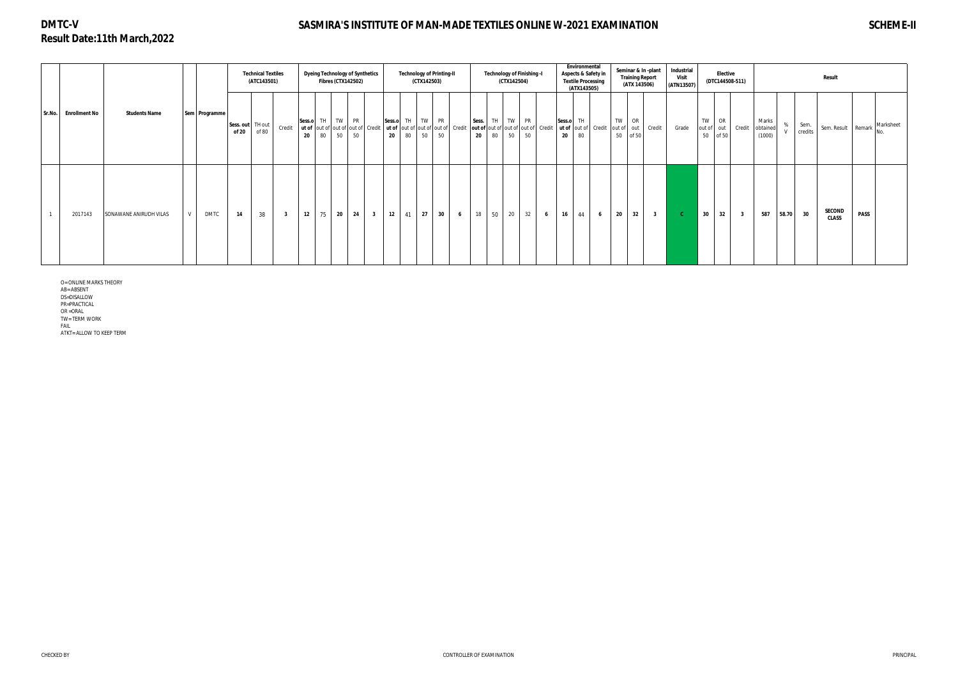# **DMTC-V Result Date:11th March,2022**

# **SASMIRA'S INSTITUTE OF MAN-MADE TEXTILES ONLINE W-2021 EXAMINATION SCHEME-II**

|  |                      |                        |               |                    | <b>Technical Textiles</b><br>(ATC143501) |                         | <b>Dyeing Technology of Synthetics</b>                                 | <b>Fibres (CTX142502)</b> |                         |                  | <b>Technology of Printing-II</b> | (CTX142503) |    |                 |             |          | <b>Technology of Finishing -I</b><br>(CTX142504)                                                                                |                 |        | Environmental<br>Aspects & Safety in<br><b>Textile Processing</b><br>(ATX143505) |                |    | (ATX 143506)                 | Seminar & In-plant<br><b>Training Report</b> | Industrial<br><b>Visit</b><br>(ATN13507) |          | <b>Elective</b>           | (DTC144508-511)         |                             |       |                 | Result                        |                  |
|--|----------------------|------------------------|---------------|--------------------|------------------------------------------|-------------------------|------------------------------------------------------------------------|---------------------------|-------------------------|------------------|----------------------------------|-------------|----|-----------------|-------------|----------|---------------------------------------------------------------------------------------------------------------------------------|-----------------|--------|----------------------------------------------------------------------------------|----------------|----|------------------------------|----------------------------------------------|------------------------------------------|----------|---------------------------|-------------------------|-----------------------------|-------|-----------------|-------------------------------|------------------|
|  | Sr.No. Enrollment No | <b>Students Name</b>   | Sem Programme | Sess. out<br>of 20 | TH out<br>of 80                          | Credit                  | Sess.o TH TW<br>ut of out of out of out of Credit<br>$20\degree$<br>80 | <b>PR</b><br>50<br>50     |                         | Sess.o<br>$20\,$ | TH  <br>80                       | TW PR<br>50 | 50 |                 | Sess.<br>20 | TH<br>80 | TW PR<br>  ut of  out of  out of  out of   Credit  out of  out of  out of  out of   Credit   ut of  out of   Credit<br>50<br>50 |                 | Sess.o | TH .<br>20<br>80                                                                 |                | TW | OR<br>out of out<br>50 of 50 | Credit                                       | Grade                                    | TW<br>50 | OR<br>out of out<br>of 50 | Credit                  | Marks<br>obtained<br>(1000) | %     | Sem.<br>credits | Sem. Result Remark            | Marksheet<br>No. |
|  | 2017143              | SONAWANE ANIRUDH VILAS | <b>DMTC</b>   | 14                 | 38                                       | $\overline{\mathbf{3}}$ | 75<br>12                                                               | 24<br>20                  | $\overline{\mathbf{3}}$ | 12               | 41                               | 27          | 30 | $6\overline{6}$ | 18          | 50       | 20<br>32                                                                                                                        | $6\overline{6}$ |        | 16<br>44                                                                         | 6 <sup>6</sup> | 20 | 32                           | $\overline{\mathbf{3}}$                      | - C -                                    | 30       | 32                        | $\overline{\mathbf{3}}$ | 587                         | 58.70 | 30              | <b>SECOND</b><br><b>CLASS</b> | <b>PASS</b>      |

O= ONLINE MARKS THEORY

AB= ABSENT

DS=DISALLOW PR=PRACTICAL

OR =ORAL

TW= TERM WORK

FAIL

ATKT= ALLOW TO KEEP TERM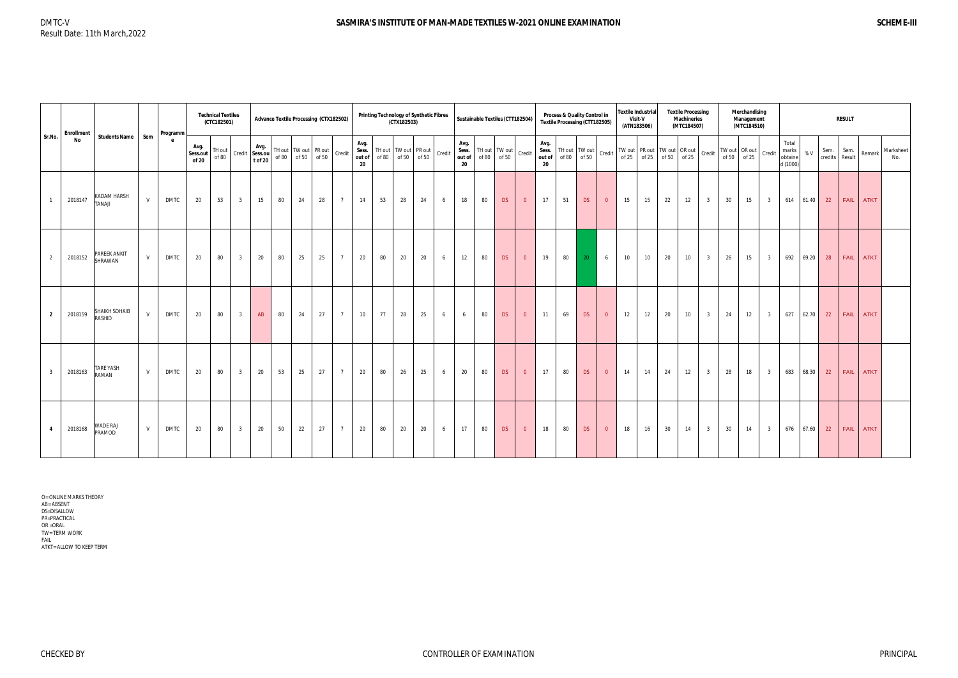| Sr.No.         | <b>Enrollment</b> |                           |     | Programm    |                           | <b>Technical Textiles</b><br>(CTC182501) |                |                                   |                          |                   | Advance Textile Processing (CTX182502) |                 |                               |    | <b>Printing Technology of Synthetic Fibres</b><br>(CTX182503) |    |        | Sustainable Textiles (CTT182504) |    |                                    |                |                               |    | Process & Quality Control in<br><b>Textile Processing (CTT182505)</b>            |                |                 | <b>Textile Industrial</b><br>Visit-V<br>(ATN183506) |    | <b>Textile Processing</b><br><b>Machineries</b><br>(MTC184507) |                         |    | Merchandising<br>Management<br>(MTC184510) |                                       |           |          | <b>RESULT</b>          |                        |                  |
|----------------|-------------------|---------------------------|-----|-------------|---------------------------|------------------------------------------|----------------|-----------------------------------|--------------------------|-------------------|----------------------------------------|-----------------|-------------------------------|----|---------------------------------------------------------------|----|--------|----------------------------------|----|------------------------------------|----------------|-------------------------------|----|----------------------------------------------------------------------------------|----------------|-----------------|-----------------------------------------------------|----|----------------------------------------------------------------|-------------------------|----|--------------------------------------------|---------------------------------------|-----------|----------|------------------------|------------------------|------------------|
|                | No                | <b>Students Name</b>      | Sem | e           | Avg.<br>Sess.out<br>of 20 | TH out<br>of 80                          |                | Avg.<br>Credit Sess.ou<br>t of 20 | TH out   TW out   PR out | of 80 of 50 of 50 |                                        | Credit          | Avg.<br>Sess.<br>out of<br>20 |    | TH out   TW out   PR out<br>of 80 of 50 of 50                 |    | Credit | Avg.<br>out of<br>20             |    | Sess. TH out TW out<br>of 80 of 50 | Credit         | Avg.<br>Sess.<br>out of<br>20 |    | $\left $ TH out $\left $ TW out $\right $ Credit $\left  \right $<br>of 80 of 50 |                |                 | of 25   of 25   of 50   of 25                       |    | TW out PR out TW out OR out                                    | Credit                  |    | TW out OR out<br>Credit<br>of $50$ of $25$ | Total<br>marks<br>obtaine<br>d (1000) | %V        | Sem.     | Sem.<br>credits Result | Remark                 | Marksheet<br>No. |
|                | 2018147           | KADAM HARSH<br>ILANAT     | V   | <b>DMTC</b> | 20                        | 53                                       | 3 <sup>3</sup> | 15                                | 80                       | 24                | 28                                     | $7\overline{ }$ | 14                            | 53 | 28                                                            | 24 | 6      | 18                               | 80 | DS                                 | $\overline{0}$ | 17                            | 51 | DS                                                                               | $\overline{0}$ | 15              | 15                                                  | 22 | 12                                                             | 3 <sup>1</sup>          | 30 | 15<br>3 <sup>3</sup>                       |                                       | 614 61.40 | 22       |                        | FAIL ATKT              |                  |
| $\overline{2}$ | 2018152           | PAREEK ANKIT<br>SHRAWAN   | V   | DMTC        | 20                        | 80                                       | 3 <sup>3</sup> | 20                                | 80                       | 25                | 25                                     | $7\overline{ }$ | 20                            | 80 | 20                                                            | 20 | 6      | 12                               | 80 | DS                                 | $\overline{0}$ | 19                            | 80 | $-20$                                                                            | 6              | 10 <sup>°</sup> | 10                                                  | 20 | 10                                                             | 3 <sup>1</sup>          | 26 | 15<br>3 <sup>1</sup>                       | 692                                   |           | 69.20 28 |                        | FAIL ATKT              |                  |
| $\overline{2}$ | 2018159           | SHAIKH SOHAIB<br>RASHID   | V   | <b>DMTC</b> | 20                        | 80                                       | 3 <sup>3</sup> | AB                                | 80                       | 24                | 27                                     | $7\overline{ }$ | 10                            | 77 | 28                                                            | 25 | 6      | 6                                | 80 | DS                                 | $\overline{0}$ | 11                            | 69 | DS                                                                               | $\overline{0}$ | 12              | 12                                                  | 20 | 10                                                             | $\overline{\mathbf{3}}$ | 24 | 12<br>3 <sup>3</sup>                       | 627                                   |           |          |                        | 62.70 22 FAIL ATKT     |                  |
| $\overline{3}$ | 2018163           | <b>TARE YASH</b><br>RAMAN | V   | <b>DMTC</b> | 20                        | 80                                       | $\overline{3}$ | 20                                | 53                       | 25                | 27                                     | $\overline{7}$  | 20                            | 80 | 26                                                            | 25 | 6      | 20                               | 80 | DS                                 | $\overline{0}$ | 17                            | 80 | DS                                                                               | $\overline{0}$ | 14              | 14                                                  | 24 | 12                                                             | $\overline{\mathbf{3}}$ | 28 | 18<br>$\overline{\mathbf{3}}$              | 683                                   | 68.30     |          |                        | 22 FAIL ATKT           |                  |
|                | 2018168           | <b>WADE RAJ</b><br>PRAMOD | V   | <b>DMTC</b> | 20                        | 80                                       | 3 <sup>3</sup> | 20                                | 50                       | 22                | 27                                     | $\overline{7}$  | 20                            | 80 | 20                                                            | 20 | 6      | 17                               | 80 | DS                                 | $\overline{0}$ | 18                            | 80 | DS                                                                               | $\overline{0}$ | 18              | 16                                                  | 30 | 14                                                             | $\overline{\mathbf{3}}$ | 30 | 14<br>3 <sup>3</sup>                       |                                       |           |          |                        | 676 67.60 22 FAIL ATKT |                  |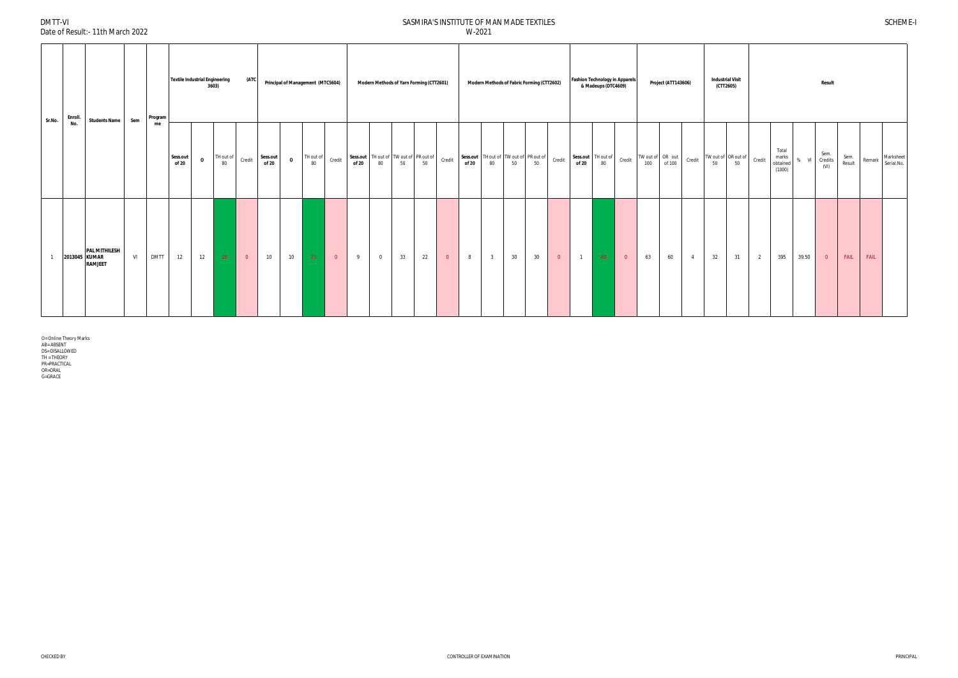DMTT-VI

Date of Result:- 11th March 2022

| Sr.No.       | Enroll. | <b>Students Name</b>                                    | Sem | Program     | <b>Textile Industrial Engineering</b> |              | 3603)                  | (ATC           |                   |              | Principal of Management (MTC5604) |                         |                                                          |                | Modern Methods of Yarn Forming (CTT2601) |    |                |                                                 |                |    | Modern Methods of Fabric Forming (CTT2602) |                | <b>Fashion Technology in Apparels</b> | & Madeups (DTC4609) |                |                                | Project (ATT143606) |                | <b>Industrial Visit</b><br>(CTT2605) |                                               |   |                                      |        | <b>Result</b>           |                |                  |  |
|--------------|---------|---------------------------------------------------------|-----|-------------|---------------------------------------|--------------|------------------------|----------------|-------------------|--------------|-----------------------------------|-------------------------|----------------------------------------------------------|----------------|------------------------------------------|----|----------------|-------------------------------------------------|----------------|----|--------------------------------------------|----------------|---------------------------------------|---------------------|----------------|--------------------------------|---------------------|----------------|--------------------------------------|-----------------------------------------------|---|--------------------------------------|--------|-------------------------|----------------|------------------|--|
|              | No.     |                                                         |     | me          | Sess.out<br>of 20                     | $\mathbf{o}$ | TH out of Credit<br>80 |                | Sess.out<br>of 20 | $\mathbf{o}$ | TH out of $80$                    | Credit                  | Sess.out TH out of TW out of PR out of<br>of 20 80 50 50 |                |                                          |    | Credit         | Sess.out TH out of TW out of PR out of<br>of 20 | 80             | 50 | 50                                         | Credit         | Sess.out TH out of<br>of 20 80        |                     | Credit         | TW out of OR out<br>100 of 100 |                     | Credit         | 50                                   | TW out of $OR$ out of $Corrceil$ credit<br>50 |   | Total<br>marks<br>obtained<br>(1000) | $%$ VI | Sem.<br>Credits<br>(VI) | Sem.<br>Result | Remark Marksheet |  |
| $\mathbf{1}$ |         | <b>PAL MITHILESH</b><br>2013045 KUMAR<br><b>RAMJEET</b> | VI  | <b>DMTT</b> | 12                                    | 12           | 28                     | $\overline{0}$ | 10                | 10           | 23                                | $\overline{\mathbf{0}}$ | 9                                                        | $\overline{0}$ | 33                                       | 22 | $\overline{0}$ | 8                                               | $\overline{3}$ | 30 | 30                                         | $\overline{0}$ | $\overline{1}$                        | AB                  | $\overline{0}$ | 63                             | 60                  | $\overline{4}$ | 32                                   | 31                                            | 2 | 395                                  | 39.50  | $\overline{0}$          | FAIL           | FAIL             |  |

O= Online Theory Marks<br>AB= ABSENT<br>DS= DISALLOWED<br>TH = THEORY<br>PR=PRACTICAL<br>OR=ORAL<br>G=GRACE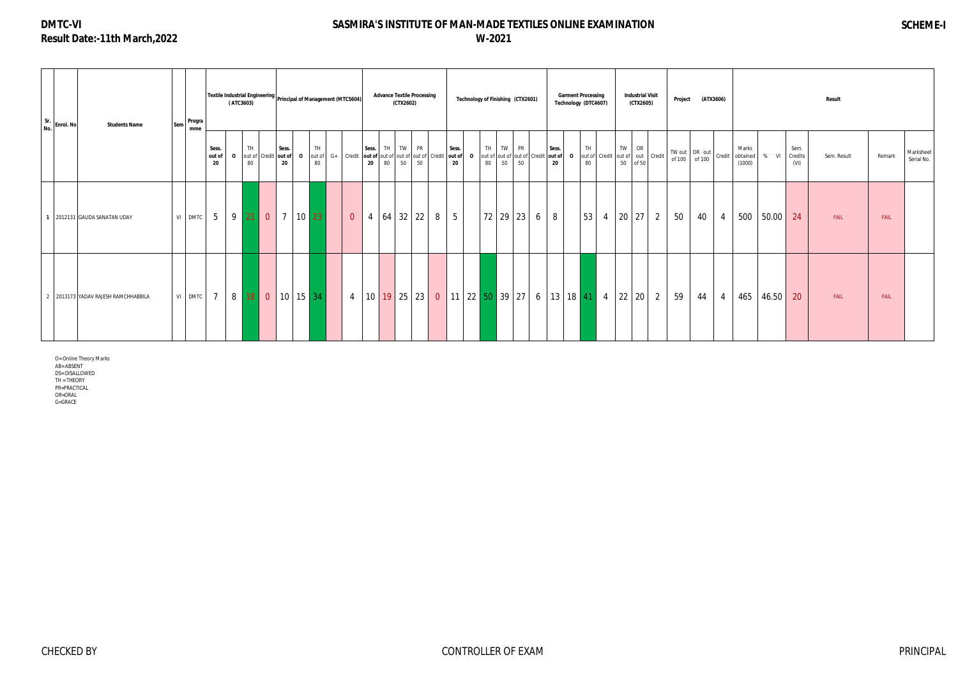# **DMTC-VI Result Date:-11th March,2022**

# **SASMIRA'S INSTITUTE OF MAN-MADE TEXTILES ONLINE EXAMINATION W-2021**

# **SCHEME-I**

O= Online Theory Marks AB= ABSENT DS= DISALLOWED TH = THEORY PR=PRACTICAL OR=ORAL G=GRACE

| Sr.<br>No. Enrol. No | <b>Students Name</b>                | <b>Sem</b> | Progra<br>mme |                        | Textile Industrial Engineering  <br>Principal of Management (MTC5604) <br>(ATC3603) |             |                      |             |          |           |                |                |    | <b>Advance Textile Processing</b><br>(CTX2602)                                                                                              |    |   | Technology of Finishing (CTX2601)                      |                |    |    |   |             | <b>Garment Processing</b><br>Technology (DTC4607) |                                                                                              |                  | <b>Industrial Visit</b><br>(CTX2605) |                | Project |                                                                         | (ATX3606)      |                                    |       |                         | Result      |        |                         |
|----------------------|-------------------------------------|------------|---------------|------------------------|-------------------------------------------------------------------------------------|-------------|----------------------|-------------|----------|-----------|----------------|----------------|----|---------------------------------------------------------------------------------------------------------------------------------------------|----|---|--------------------------------------------------------|----------------|----|----|---|-------------|---------------------------------------------------|----------------------------------------------------------------------------------------------|------------------|--------------------------------------|----------------|---------|-------------------------------------------------------------------------|----------------|------------------------------------|-------|-------------------------|-------------|--------|-------------------------|
|                      |                                     |            |               | Sess.<br>out of<br>-20 | $\mathbf{o}$                                                                        | TH<br>80    | out of Credit out of | Sess.<br>20 |          | TH.<br>80 |                | Sess. TH<br>20 | 80 | TW PR<br><b>0</b> $\vert$ out of $\vert$ G+ $\vert$ Credit $\vert$ out of $\vert$ out of $\vert$ out of $\vert$ Credit $\vert$ out of<br>50 | 50 |   | Sess.<br>20                                            | TH TW PR<br>80 | 50 | 50 |   | Sess.<br>20 | TH<br>80                                          | 0   out of   out of   out of   Credit   out of   0   out of   Credit   out of   out   Credit | TW  <br>50 of 50 | OR                                   |                |         | $\begin{array}{c c}\nTW out & OR & out \\ of 100 & of 100\n\end{array}$ |                | Marks<br>Credit obtained<br>(1000) | % VI  | Sem.<br>Credits<br>(VI) | Sem. Result | Remark | Marksheet<br>Serial No. |
|                      | 1 2012131 GAUDA SANATAN UDAY        |            | VI DMTC       | $5\overline{)}$        |                                                                                     | $9 \mid 21$ | $\overline{0}$       |             | 7 10 23  |           | $\overline{0}$ | $\overline{4}$ | 64 | $32 \mid 22 \mid$                                                                                                                           |    | 8 | 5 <sup>5</sup>                                         | 72   29   23   |    |    | 6 | 8           | 53                                                | $\overline{4}$                                                                               | 20               | 27                                   | $\overline{2}$ | 50      | 40                                                                      | $\overline{4}$ | 500                                | 50.00 | 24                      | FAIL        | FAIL   |                         |
|                      | 2 2013173 YADAV RAJESH RAMCHHABBILA |            | VI DMTC       | $\overline{7}$         | 8 <sup>1</sup>                                                                      |             | $18$ 0               |             | 10 15 34 |           | $\overline{4}$ |                |    | 10 19 25 23                                                                                                                                 |    |   | 0   11   22   50   39   27   6   13   18   41   4   22 |                |    |    |   |             |                                                   |                                                                                              |                  | 20 <sup>1</sup>                      | $\overline{2}$ | 59      | 44                                                                      | $\overline{4}$ | 465                                | 46.50 | 20                      | FAIL        | FAIL   |                         |